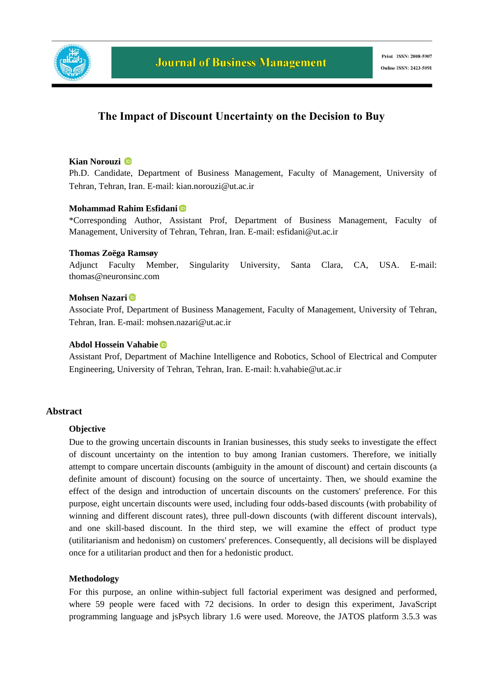

# **The Impact of Discount Uncertainty on the Decision to Buy**

## **Kian Norouzi**

Ph.D. Candidate, Department of Business Management, Faculty of Management, University of Tehran, Tehran, Iran. E-mail: kian.norouzi@ut.ac.ir

### **Mohammad Rahim Esfidani**

\*Corresponding Author, Assistant Prof, Department of Business Management, Faculty of Management, University of Tehran, Tehran, Iran. E-mail: esfidani@ut.ac.ir

### **Thomas Zoëga Ramsøy**

Adjunct Faculty Member, Singularity University, Santa Clara, CA, USA. E-mail: thomas@neuronsinc.com

### **Mohsen Nazari**

Associate Prof, Department of Business Management, Faculty of Management, University of Tehran, Tehran, Iran. E-mail: mohsen.nazari@ut.ac.ir

### **Abdol Hossein Vahabie**

Assistant Prof, Department of Machine Intelligence and Robotics, School of Electrical and Computer Engineering, University of Tehran, Tehran, Iran. E-mail: h.vahabie@ut.ac.ir

### **Abstract**

### **Objective**

Due to the growing uncertain discounts in Iranian businesses, this study seeks to investigate the effect of discount uncertainty on the intention to buy among Iranian customers. Therefore, we initially attempt to compare uncertain discounts (ambiguity in the amount of discount) and certain discounts (a definite amount of discount) focusing on the source of uncertainty. Then, we should examine the effect of the design and introduction of uncertain discounts on the customers' preference. For this purpose, eight uncertain discounts were used, including four odds-based discounts (with probability of winning and different discount rates), three pull-down discounts (with different discount intervals), and one skill-based discount. In the third step, we will examine the effect of product type (utilitarianism and hedonism) on customers' preferences. Consequently, all decisions will be displayed once for a utilitarian product and then for a hedonistic product.

### **Methodology**

For this purpose, an online within-subject full factorial experiment was designed and performed, where 59 people were faced with 72 decisions. In order to design this experiment, JavaScript programming language and jsPsych library 1.6 were used. Moreove, the JATOS platform 3.5.3 was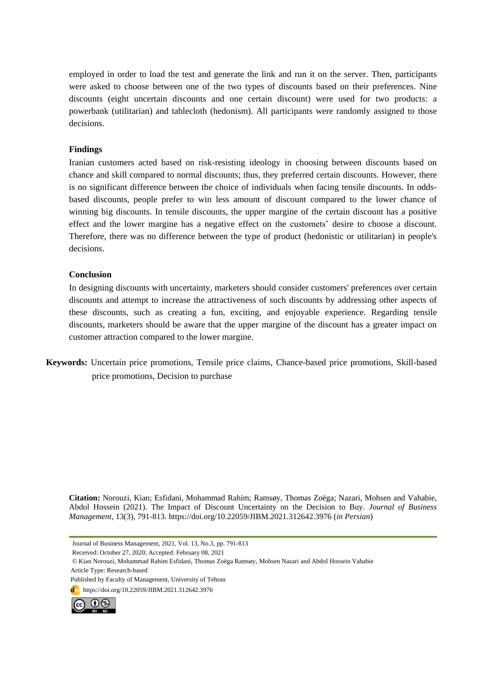employed in order to load the test and generate the link and run it on the server. Then, participants were asked to choose between one of the two types of discounts based on their preferences. Nine discounts (eight uncertain discounts and one certain discount) were used for two products: a powerbank (utilitarian) and tablecloth (hedonism). All participants were randomly assigned to those decisions.

### **Findings**

Iranian customers acted based on risk-resisting ideology in choosing between discounts based on chance and skill compared to normal discounts; thus, they preferred certain discounts. However, there is no significant difference between the choice of individuals when facing tensile discounts. In oddsbased discounts, people prefer to win less amount of discount compared to the lower chance of winning big discounts. In tensile discounts, the upper margine of the certain discount has a positive effect and the lower margine has a negative effect on the customets' desire to choose a discount. Therefore, there was no difference between the type of product (hedonistic or utilitarian) in people's decisions.

### **Conclusion**

In designing discounts with uncertainty, marketers should consider customers' preferences over certain discounts and attempt to increase the attractiveness of such discounts by addressing other aspects of these discounts, such as creating a fun, exciting, and enjoyable experience. Regarding tensile discounts, marketers should be aware that the upper margine of the discount has a greater impact on customer attraction compared to the lower margine.

**Keywords:** Uncertain price promotions, Tensile price claims, Chance-based price promotions, Skill-based price promotions, Decision to purchase

**Citation:** Norouzi, Kian; Esfidani, Mohammad Rahim; Ramsøy, Thomas Zoëga; Nazari, Mohsen and Vahabie, Abdol Hossein (2021). The Impact of Discount Uncertainty on the Decision to Buy. *Journal of Business Management,* 13(3), 791-813. https://doi.org/10.22059/JIBM.2021.312642.3976 (*in Persian*)

Journal of Business Management, 2021, Vol. 13, No.3, pp. 791-813

Received: October 27, 2020; Accepted: February 08, 2021

dol https://doi.org/10.22059/JIBM.2021.312642.3976



<sup>©</sup> Kian Norouzi, Mohammad Rahim Esfidani, Thomas Zoëga Ramsøy, Mohsen Nazari and Abdol Hossein Vahabie

Article Type: Research-based

Published by Faculty of Management, University of Tehran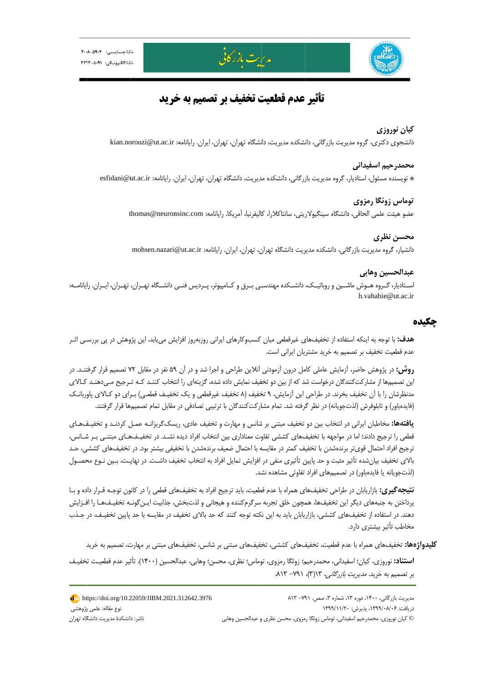



# **تأثير عدم قطعيت تخفيف بر تصميم به خريد**

# **روزي كيان نو**

دانشجوی دکتری، گروه مديريت بازرگاني، دانشکده مديريت، دانشگاه تهران، تهران، ايران. رايانامه: kian.norouzi@ut.ac.ir

## **حيم اسفيداني محمدرح**

\* نويسنده مسئول، استاديار، گروه مديريت بازرگاني، دانشكده مديريت، دانشگاه تهران، تهران، ايران. رايانامه: esfidani@ut.ac.ir

### **زوئگا رمزوي توماس**

عضو هيئت علمي الحاقي، دانشگاه سينگيولاريتي، سانتاكلارا، كاليفرنيا، آمريكا. رايانامه: thomas@neuronsinc.com

### **نظري محسن**

دانشيار، گروه مديريت بازرگانى، دانشكده مديريت دانشگاه تهران، تهران، ايران. رايانامه: mohsen.nazari@ut.ac.ir

# **سين وهابي عبدالحس**

اسـتاديار، گــروه هــوش ماشــين و روباتيــك، دانشــكده مهندســي بــرق و كــامپيوتر، پــرديس فنــي دانشــگاه تهــران، ايــران. رايانامــه: h.vahabie@ @ut.ac.ir

# **چكيده چ**

**هدف:** با توجه به اينكه استفاده از تخفيف\$اى غيرقطعى ميان كسبوكارهاى ايرانى روزبهروز افزايش مىيابد، اين پژوهش در پى بررسـى اثـر عدم قطعيت تخفيف بر تصميم به خريد مشتريان ايراني است.

**روش:** در پژوهش حاضر، آزمايش عاملي كامل درون آزمودني آنلاين طراحي و اجرا شد و در آن ۵۹ نفر در مقابل ۷۲ تصميم قرار گرفتنـد. در ين تصميمها از مشاركتكنندگان درخواست شد كه از بين دو تخفيف نمايش داده شده، گزينهاى را انتخاب كننـد كـه تـرجيح مـيدهنـد كـالاى مدنظرشان را با آن تخفيف بخرند. در طراحي اين آزمايش، ۹ تخفيف (۸ تخفيف غيرقطعي و يک تخفيـف قطعـي) بـراي دو کـالاي پاوربانـک (فايدمباور) و تابلوفرش (لذتجويانه) در نظر گرفته شد. تمام مشاركتكنندگان با ترتيبي تصادفي در مقابل تمام تصميمها قرار گرفتند.

**يافتهها:** مخاطبان ايراني در انتخاب بين دو تخفيف مبتني بر شانس و مهارت و تخفيف عادي، ريسکگريزانـه عمـل کردنـد و تخفيـفـهـاى فطعي را ترجيج دادند؛ اما در مواجهه با تخفيف&اي كششي تفاوت معناداري بين انتخاب افراد ديده نشـد. در تخفيـف&ـاي مبتنـي بـر شـانس، نرجيح افراد احتمال قوىتر برندهشدن با تخفيف كمتر در مقايسه با احتمال ضعيف برندهشدن با تخفيفي بيشتر بود. در تخفيفهاى كششى، حـد بالای تخفيف بيانشده تأثير مثبت و حد پايين تأثيری منفی در افزايش تمايل افراد به انتخاب تخفيف داشـت. در نهايـت، بـين نـوع محصـول (لذتجويانه يا فايدهباور) در تصميمهاى افراد تفاوتى مشاهده نشد.

ن**تيجه گيري:** بازاريابان در طراحي تخفيفهاي همراه با عدم قطعيت، بايد ترجيح افراد به تخفيفهاي قطعي را در كانون توجـه قـرار داده و بــا برداختن به جنبههای دیگر این تخفیفها، همچون خلق تجربه سرگرم کننده و هیجانی و لذتبخش، جذابیت ایـن گونـه تخفیـفـهـا را افـزایش دهند. در استفاده از تخفيفهاى كششى، بازاريابان بايد به اين نكته توجه كنند كه حد بالاى تخفيف در مقايسه با حد پايين تخفيـف، در جـذب تأثير بيشتري دارد. مخاطب ت

كليدواژهها: تخفيفهاى همراه با عدم قطعيت، تخفيفهاى كششى، تخفيفهاى مبتنى بر شانس، تخفيفهاى مبتنى بر مهارت، تصميم به خريد

ا**ستناد:** نوروزی، کیان؛ اسفیدانی، محمدرحیم؛ زوئگا رمزوی، توماس؛ نظری، محسن؛ وهابی، عبدالحسین (۱۴۰۰). تأثیر عدم قطعیت تخفیـف بر تصميم به خريد. *مديريت بازرگاني،* ۱۳(۳)، ۷۹۱– ۸۱۳.

> © كيان نوروزى، محمدرحيم اسفيدانى، توماس زوئگا رمزوى، محسن نظرى و عبدالحسين وهابى ر<br>مديريت بازرگاني، ۱۴۰۰، دوره ۱۳، شماره ۳، صص. ۷۹۱– ۸۱۳ دريافت: ۱۳۹۹/۰۸/۰۶ پذيرش: ۱۳۹۹/۱۱/۲۰

https://doi.org/10.22059/JIBM.2021.312642.3976 پژوهشي نوع مقاله: علمي پ ناشر: دانشكدة مديريت دانشگاه تهران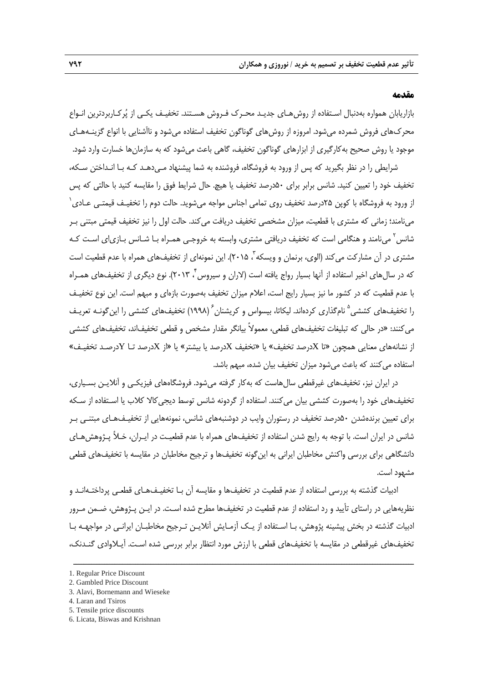#### **مقدمه**

بازاريابان همواره بهدنبال اسـتفاده از روشهـاي جديـد محـرك فـروش هسـتند. تخفيـف يكـي از پركـاربردترين انـواع محركهاي فروش شمرده ميشود. امروزه از روشهاي گوناگون تخفيف استفاده ميشود و ناآشنايي با انواع گزينـههـاي موجود يا روش صحيح بهكارگيري از ابزارهاي گوناگون تخفيف، گاهي باعث ميشود كه به سازمانها خسارت وارد شود.

شرايطي را در نظر بگيريد كه پس از ورود به فروشگاه، فروشنده به شما پيشنهاد مـيدهـد كـه بـا انـداختن سـكه، تخفيف خود را تعيين كنيد. شانس برابر براي 50درصد تخفيف يا هيچ. حال شرايط فوق را مقايسه كنيد با حالتي كه پس ًز ورود به فروشگاه با كوپن ۲۵درصد تخفيف روى تمامى اجناس مواجه مىشويد. حالت دوم را تخفيـف قيمتـى عــادى` مينامند؛ زماني كه مشتري با قطعيت، ميزان مشخصي تخفيف دريافت ميكند. حالت اول را نيز تخفيف قيمتي مبتني بـر مينامند و هنگامي است كه تخفيف دريافتي مشتري، وابسته به خروجـي همـراه بـا شـانس بـازياي اسـت كـه <sup>2</sup> شانس مشتري در آن مشاركت مي كند (الوي، برنمان و ويسكه '، ٢٠١۵). اين نمونهاي از تخفيفهاي همراه با عدم قطعيت است كه در سال هاي اخير استفاده از آنها بسيار رواج يافته است (لاران و سيروس ً، ٢٠١٣). نوع ديگري از تخفيفهاي همـراه با عدم قطعيت كه در كشور ما نيز بسيار رايج است، اعلام ميزان تخفيف بهصورت بازهاي و مبهم است. اين نوع تخفيـف را تخفيفهاي كششي <sup>۵</sup> نامگذاري كردهاند. ليكاتا، بيسواس و كريشنان ۱۹۹۸) تخفيفهاي كششي را اين گونـه تعريـف ميكنند: «در حالي كه تبليغات تخفيفهاي قطعي، معمولاً بيانگر مقدار مشخص و قطعي تخفيفاند، تخفيفهاي كششي از نشانههاي معنايي همچون «تا Xدرصد تخفيف» يا «تخفيف Xدرصد يا بيشتر» يا «از Xدرصد تـا Yدرصـد تخفيـف» استفاده ميكنند كه باعث ميشود ميزان تخفيف بيان شده، مبهم باشد.

در ايران نيز، تخفيفهاي غيرقطعي سالهاست كه بهكار گرفته ميشود. فروشگاههاي فيزيكـي و آنلايـن بسـياري، تخفيفهاي خود را بهصورت كششي بيان ميكنند. استفاده از گردونه شانس توسط ديجيكالا كلاب يا اسـتفاده از سـكه براي تعيين برندهشدن 50درصد تخفيف در رستوران وايب در دوشنبههاي شانس، نمونههايي از تخفيـفهـاي مبتنـي بـر شانس در ايران است. با توجه به رايج شدن استفاده از تخفيفهاي همراه با عدم قطعيـت در ايـران، خـلأ پـژوهشهـاي دانشگاهي براي بررسي واكنش مخاطبان ايراني به اينگونه تخفيفها و ترجيح مخاطبان در مقايسه با تخفيفهاي قطعي مشهود است.

ادبيات گذشته به بررسي استفاده از عدم قطعيت در تخفيفها و مقايسه آن بـا تخفيـفهـاي قطعـي پرداختـهانـد و نظريههايي در راستاي تأييد و رد استفاده از عدم قطعيت در تخفيفها مطرح شده اسـت. در ايـن پـژوهش، ضـمن مـرور ادبيات گذشته در بخش پيشينه پژوهش، بـا اسـتفاده از يـك آزمـايش آنلايـن تـرجيح مخاطبـان ايرانـي در مواجهـه بـا تخفيفهاي غيرقطعي در مقايسه با تخفيفهاي قطعي با ارزش مورد انتظار برابر بررسي شده اسـت. آيـلاوادي گنـدنك،

<sup>1.</sup> Regular Price Discount

<sup>2.</sup> Gambled Price Discount

<sup>3.</sup> Alavi, Bornemann and Wieseke

<sup>4.</sup> Laran and Tsiros

<sup>5.</sup> Tensile price discounts

<sup>6.</sup> Licata, Biswas and Krishnan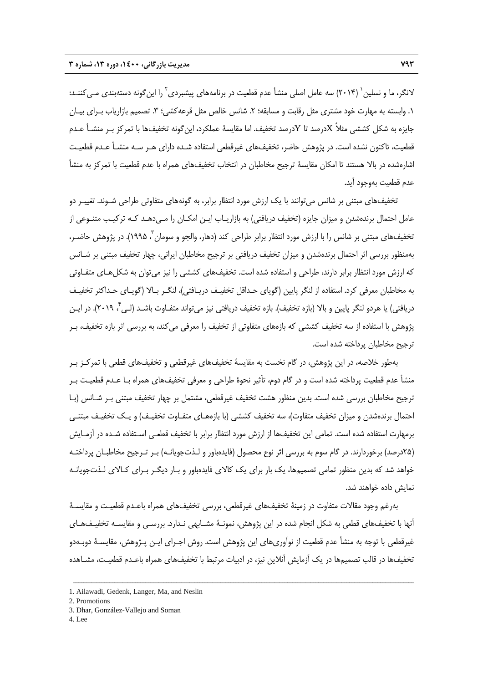لانگر، ما و نسلين ` (٢٠١۴) سه عامل اصلي منشأ عدم قطعيت در برنامههاي پيشبردي ` را اين گونه دستهبندي مـي كننـد: .1 وابسته به مهارت خود مشتري مثل رقابت و مسابقه؛ .2 شانس خالص مثل قرعهكشي؛ .3 تصميم بازارياب بـراي بيـان جايزه به شكل كششي مثلاً Xدرصد تا Yدرصد تخفيف. اما مقايسة عملكرد، اينگونه تخفيفها با تمركز بـر منشـأ عـدم قطعيت، تاكنون نشده است. در پژوهش حاضر، تخفيفهاي غيرقطعي استفاده شـده داراي هـر سـه منشـأ عـدم قطعيـت اشارهشده در بالا هستند تا امكان مقايسة ترجيح مخاطبان در انتخاب تخفيفهاي همراه با عدم قطعيت با تمركز به منشأ عدم قطعيت بهوجود آيد.

تخفيفهاي مبتني بر شانس ميتوانند با يك ارزش مورد انتظار برابر، به گونههاي متفاوتي طراحي شـوند. تغييـر دو عامل احتمال برندهشدن و ميزان جايزه (تخفيف دريافتي) به بازاريـاب ايـن امكـان را مـيدهـد كـه تركيـب متنـوعي از تخفيفهاي مبتني بر شانس را با ارزش مورد انتظار برابر طراحي كند (دهار، والجو و سومان ً، ١٩٩۵). در پژوهش حاضـر، بهمنظور بررسي اثر احتمال برندهشدن و ميزان تخفيف دريافتي بر ترجيح مخاطبان ايراني، چهار تخفيف مبتني بر شـانس كه ارزش مورد انتظار برابر دارند، طراحي و استفاده شده است. تخفيفهاي كششي را نيز ميتوان به شكلهـاي متفـاوتي به مخاطبان معرفي كرد. استفاده از لنگر پايين (گوياي حـداقل تخفيـف دريـافتي)، لنگـر بـالا (گويـاي حـداكثر تخفيـف دريافتي) يا هردو لنگر پايين و بالا (بازه تخفيف). بازه تخفيف دريافتي نيز مي تواند متفـاوت باشـد (لـي ً، ٢٠١٩). در ايـن پژوهش با استفاده از سه تخفيف كششي كه بازههاي متفاوتي از تخفيف را معرفي ميكند، به بررسي اثر بازه تخفيف، بـر ترجيح مخاطبان پرداخته شده است.

بهطور خلاصه، در اين پژوهش، در گام نخست به مقايسة تخفيفهاي غيرقطعي و تخفيفهاي قطعي با تمركـز بـر منشأ عدم قطعيت پرداخته شده است و در گام دوم، تأثير نحوة طراحي و معرفي تخفيفهاي همراه بـا عـدم قطعيـت بـر ترجيح مخاطبان بررسي شده است. بدين منظور هشت تخفيف غيرقطعي، مشتمل بر چهار تخفيف مبتني بـر شـانس (بـا احتمال برندهشدن و ميزان تخفيف متفاوت)، سه تخفيف كششي (با بازههـاي متفـاوت تخفيـف) و يـك تخفيـف مبتنـي برمهارت استفاده شده است. تمامي اين تخفيفها از ارزش مورد انتظار برابر با تخفيف قطعـي اسـتفاده شـده در آزمـايش (25درصد) برخوردارند. در گام سوم به بررسي اثر نوع محصول (فايدهباور و لـذتجويانـه) بـر تـرجيح مخاطبـان پرداختـه خواهد شد كه بدين منظور تمامي تصميمها، يك بار براي يك كالاي فايدهباور و بـار ديگـر بـراي كـالاي لـذتجويانـه نمايش داده خواهند شد.

بهرغم وجود مقالات متفاوت در زمينة تخفيفهاي غيرقطعي، بررسي تخفيفهاي همراه باعـدم قطعيـت و مقايسـة آنها با تخفيفهاي قطعي به شكل انجام شده در اين پژوهش، نمونـة مشـابهي نـدارد. بررسـي و مقايسـه تخفيـفهـاي غيرقطعي با توجه به منشأ عدم قطعيت از نوآوريهاي اين پژوهش است. روش اجـراي ايـن پـژوهش، مقايسـة دوبـهدو تخفيفها در قالب تصميمها در يك آزمايش آنلاين نيز، در ادبيات مرتبط با تخفيفهاي همراه باعـدم قطعيـت، مشـاهده

<sup>1.</sup> Ailawadi, Gedenk, Langer, Ma, and Neslin

<sup>2.</sup> Promotions

<sup>3.</sup> Dhar, González-Vallejo and Soman

<sup>4.</sup> Lee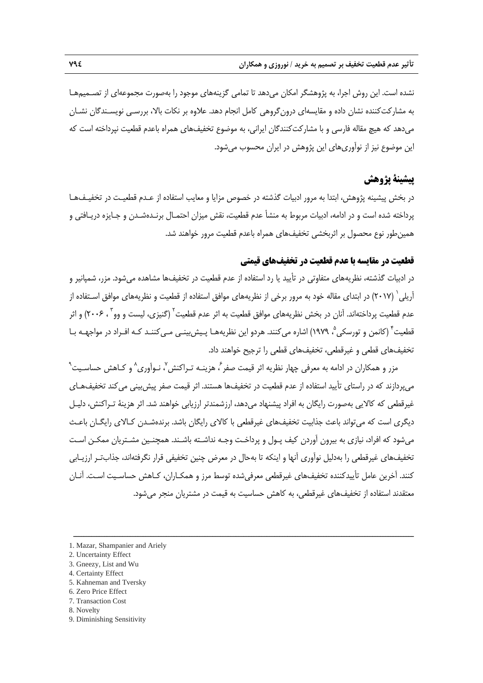نشده است. اين روش اجرا، به پژوهشگر امكان ميدهد تا تمامي گزينههاي موجود را بهصورت مجموعهاي از تصـميمهـا به مشاركتكننده نشان داده و مقايسهاي درونگروهي كامل انجام دهد. علاوه بر نكات بالا، بررسـي نويسـندگان نشـان ميدهد كه هيچ مقاله فارسي و با مشاركتكنندگان ايراني، به موضوع تخفيفهاي همراه باعدم قطعيت نپرداخته است كه اين موضوع نيز از نوآوريهاي اين پژوهش در ايران محسوب ميشود.

# **پيشينة پژوهش**

در بخش پيشينه پژوهش، ابتدا به مرور ادبيات گذشته در خصوص مزايا و معايب استفاده از عـدم قطعيـت در تخفيـفهـا پرداخته شده است و در ادامه، ادبيات مربوط به منشأ عدم قطعيت، نقش ميزان احتمـال برنـدهشـدن و جـايزه دريـافتي و همينطور نوع محصول بر اثربخشي تخفيفهاي همراه باعدم قطعيت مرور خواهند شد.

# **قطعيت در مقايسه با عدم قطعيت در تخفيفهاي قيمتي**

در ادبيات گذشته، نظريههاي متفاوتي در تأييد يا رد استفاده از عدم قطعيت در تخفيفها مشاهده ميشود. مزر، شمپانير و آريلي' (٢٠١٧) در ابتداي مقاله خود به مرور برخي از نظريههاي موافق استفاده از قطعيت و نظريههاي موافق اسـتفاده از عدم قطعيت پرداختهاند. آنان در بخش نظريههاى موافق قطعيت به اثر عدم قطعيت<sup>۲</sup> (گنيزى، ليست و وو<sup>۳</sup> ، ۲۰۰۶) و اثر قطعيت<sup>"</sup> (كانمن و تورسكي °، ١٩٧٩) اشاره مي كنند. هردو اين نظريههـا پـيش.بينـي مـي كننـد كـه افـراد در مواجهـه بـا تخفيفهاي قطعي و غيرقطعي، تخفيفهاي قطعي را ترجيح خواهند داد.

مزر و همكاران در ادامه به معرف*ى* چهار نظريه اثر قيمت صفر ً، هزينــه تــراكنش ٌ، نــواَورى ٌ و كــاهش حساســيت ْ ميپردازند كه در راستاي تأييد استفاده از عدم قطعيت در تخفيفها هستند. اثر قيمت صفر پيشبيني ميكند تخفيفهـاي غيرقطعي كه كالايي بهصورت رايگان به افراد پيشنهاد ميدهد، ارزشمندتر ارزيابي خواهند شد. اثر هزينة تـراكنش، دليـل ديگري است كه ميتواند باعث جذابيت تخفيفهاي غيرقطعي با كالاي رايگان باشد. برندهشـدن كـالاي رايگـان باعـث ميشود كه افراد، نيازي به بيرون آوردن كيف پـول و پرداخـت وجـه نداشـته باشـند. همچنـين مشـتريان ممكـن اسـت تخفيفهاي غيرقطعي را بهدليل نوآوري آنها و اينكه تا بهحال در معرض چنين تخفيفي قرار نگرفتهاند، جذابتـر ارزيـابي كنند. آخرين عامل تأييدكننده تخفيفهاي غيرقطعي معرفيشده توسط مرز و همكـاران، كـاهش حساسـيت اسـت. آنـان معتقدند استفاده از تخفيفهاي غيرقطعي، به كاهش حساسيت به قيمت در مشتريان منجر ميشود.

- 4. Certainty Effect
- 5. Kahneman and Tversky
- 6. Zero Price Effect
- 7. Transaction Cost
- 8. Novelty
- 9. Diminishing Sensitivity

<sup>1.</sup> Mazar, Shampanier and Ariely

<sup>2.</sup> Uncertainty Effect

<sup>3.</sup> Gneezy, List and Wu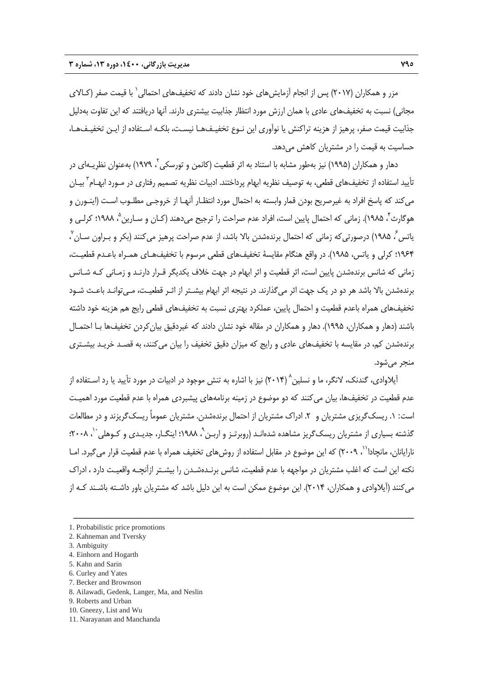مزر و همكاران (2017) پس از انجام آزمايشهاي خود نشان دادند كه تخفيفهاي احتمالي 1 با قيمت صفر (كـالاي مجاني) نسبت به تخفيفهاي عادي با همان ارزش مورد انتظار جذابيت بيشتري دارند. آنها دريافتند كه اين تفاوت بهدليل جذابيت قيمت صفر، پرهيز از هزينه تراكنش يا نوآوري اين نـوع تخفيـفهـا نيسـت، بلكـه اسـتفاده از ايـن تخفيـفهـا، حساسيت به قيمت را در مشتريان كاهش ميدهد.

دهار و همكاران (۱۹۹۵) نيز بهطور مشابه با استناد به اثر قطعيت (كانمن و تورسكى<sup>۲</sup>، ۱۹۷۹) بهعنوان نظريــهاى در تأييد استفاده از تخفيفهاي قطعي، به توصيف نظريه ابهام پرداختند. ادبيات نظريه تصميم رفتاري در مـورد ابهـام ّ بيـان ميكند كه پاسخ افراد به غيرصريح بودن قمار وابسته به احتمال مورد انتظـار آنهـا از خروجـي مطلـوب اسـت (اينـورن و هوگارث '، 19۸۵). زماني كه احتمال پايين است، افراد عدم صراحت را ترجيح ميدهند (كـان و سـارين ''، ۱۹۸۸؛ كرلـي و باتس ً، ۱۹۸۵) درصورتیکه زمانی که احتمال برندهشدن بالا باشد، از عدم صراحت پرهیز میکنند (بکر و بـراون سـان <sup>۷</sup> ، 1964؛ كرلي و ياتس، 1985). در واقع هنگام مقايسة تخفيفهاي قطعي مرسوم با تخفيفهـاي همـراه باعـدم قطعيـت، زماني كه شانس برندهشدن پايين است، اثر قطعيت و اثر ابهام در جهت خلاف يكديگر قـرار دارنـد و زمـاني كـه شـانس برندهشدن بالا باشد هر دو در يك جهت اثر ميگذارند. در نتيجه اثر ابهام بيشـتر از اثـر قطعيـت، مـيتوانـد باعـث شـود تخفيفهاي همراه باعدم قطعيت و احتمال پايين، عملكرد بهتري نسبت به تخفيفهاي قطعي رايج هم هزينه خود داشته باشند (دهار و همكاران، 1995). دهار و همكاران در مقاله خود نشان دادند كه غيردقيق بيانكردن تخفيفها بـا احتمـال برندهشدن كم، در مقايسه با تخفيفهاي عادي و رايج كه ميزان دقيق تخفيف را بيان ميكنند، به قصـد خريـد بيشـتري منجر ميشود.

آبلاوادي، گندنک، لانگر، ما و نسلين ۲۰۱۴) نيز يا اشاره به تنش موجود در ادبيات در مورد تأييد يا رد اسـتفاده از عدم قطعيت در تخفيفها، بيان ميكنند كه دو موضوع در زمينه برنامههاي پيشبردي همراه با عدم قطعيت مورد اهميـت است: .1 ريسكگريزي مشتريان و .2 ادراك مشتريان از احتمال برندهشدن. مشتريان عموماً ريسكگريزند و در مطالعات گذشته بسياري از مشتريان ريسک $\mathcal{P}_{\lambda}$ يز مشاهده شدهانـد (روبرتـز و اربـن`، ۱۹۸۸؛ اينگـار، جديـدي و کـوهلي ``، ۲۰۰۸؛ نارايانان، مانچادا'`، ٢٠٠٩) كه اين موضوع در مقابل استفاده از روش هاي تخفيف همراه با عدم قطعيت قرار مي گيرد. امـا نكته اين است كه اغلب مشتريان در مواجهه با عدم قطعيت، شانس برنـدهشـدن را بيشـتر ازآنچـه واقعيـت دارد ، ادراك ميكنند (آيلاوادي و همكاران، 2014). اين موضوع ممكن است به اين دليل باشد كه مشتريان باور داشـته باشـند كـه از

ــــــــــــــــــــــــــــــــــــــــــــــــــــــــــــــــــــــــــــــــــــــــــــــــــــــــــــــــــــــــــــــــــــ

- 7. Becker and Brownson
- 8. Ailawadi, Gedenk, Langer, Ma, and Neslin

11. Narayanan and Manchanda

<sup>1.</sup> Probabilistic price promotions

<sup>2.</sup> Kahneman and Tversky

<sup>3.</sup> Ambiguity

<sup>4.</sup> Einhorn and Hogarth

<sup>5.</sup> Kahn and Sarin

<sup>6.</sup> Curley and Yates

<sup>9.</sup> Roberts and Urban

<sup>10.</sup> Gneezy, List and Wu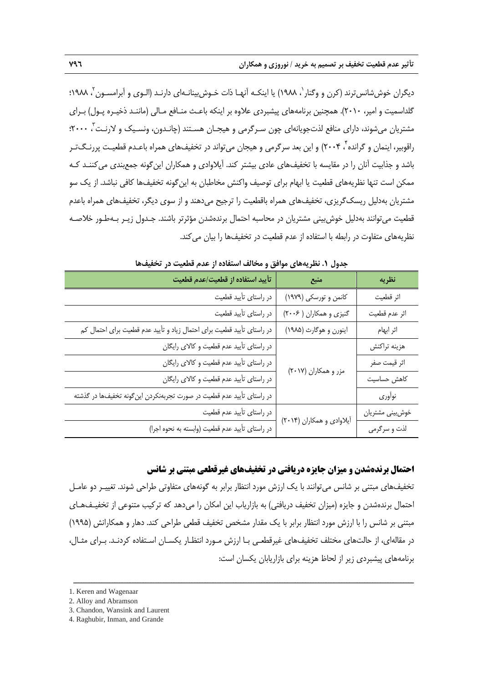ديگران خوششانسترند (كرن و وگنار<sup>'</sup>، ١٩٨٨) يا اينكـه آنهـا ذات خـوش بينانـهاى دارنـد (الـوى و آبرامسـون <sup>٢</sup>، ١٩٨٨؛ گلداسميت و امير، 2010). همچنين برنامههاي پيشبردي علاوه بر اينكه باعـث منـافع مـالي (ماننـد ذخيـره پـول) بـراي مشتريان ميشوند، داراي منافع لذتجويانهاي چون سـرگرمي و هيجـان هسـتند (چانـدون، ونسـيک و لارنـت<sup>"</sup>، ٢٠٠٠؛ راقوبير، اينمان و گرانده با ۲۰۰۴) و اين بعد سرگرمي و هيجان مي تواند در تخفيف&اي همراه باعـدم قطعيـت پررنـگ1تـر باشد و جذابيت آنان را در مقايسه با تخفيفهاي عادي بيشتر كند. آيلاوادي و همكاران اينگونه جمعبندي ميكننـد كـه ممكن است تنها نظريههاي قطعيت يا ابهام براي توصيف واكنش مخاطبان به اينگونه تخفيفها كافي نباشد. از يك سو مشتريان بهدليل ريسكگريزي، تخفيفهاي همراه باقطعيت را ترجيح ميدهند و از سوي ديگر، تخفيفهاي همراه باعدم قطعيت ميتوانند بهدليل خوشبيني مشتريان در محاسبه احتمال برندهشدن مؤثرتر باشند. جـدول زيـر بـهطـور خلاصـه نظريههاي متفاوت در رابطه با استفاده از عدم قطعيت در تخفيفها را بيان ميكند.

| تأييد استفاده از قطعيت/عدم قطعيت                                        | ا منبع                    | نظريه            |
|-------------------------------------------------------------------------|---------------------------|------------------|
| در راستای تأیید قطعیت                                                   | کانمن و تورسکی (۱۹۷۹)     | اثر قطعيت        |
| در راستای تأیید قطعیت                                                   | گنیزی و همکاران ( ۲۰۰۶)   | اثر عدم قطعيت    |
| در راستای تأیید قطعیت برای احتمال زیاد و تأیید عدم قطعیت برای احتمال کم | اینورن و هوگارث (۱۹۸۵)    | اثر ابهام        |
| در راستای تأیید عدم قطعیت و کالای رایگان                                |                           | هزينه تراكنش     |
| در راستای تأیید عدم قطعیت و کالای رایگان                                |                           | اثر قيمت صفر     |
| در راستای تأیید عدم قطعیت و کالای رایگان                                | مزر و همکاران (۲۰۱۷)      | كاهش حساسيت      |
| در راستای تأیید عدم قطعیت در صورت تجربهنکردن اینگونه تخفیفها در گذشته   |                           | نوأورى           |
| در راستای تأیید عدم قطعیت                                               |                           | خوش بینی مشتریان |
| در راستای تأیید عدم قطعیت (وابسته به نحوه اجرا)                         | أيلاوادي و همكاران (٢٠١۴) | لذت و سرگرمي     |

**جدول .1 نظريههاي موافق و مخالف استفاده از عدم قطعيت در تخفيفها** 

# **احتمال برندهشدن و ميزان جايزه دريافتي در تخفيفهاي غيرقطعي مبتني بر شانس**

تخفيفهاي مبتني بر شانس ميتوانند با يك ارزش مورد انتظار برابر به گونههاي متفاوتي طراحي شوند. تغييـر دو عامـل احتمال برندهشدن و جايزه (ميزان تخفيف دريافتي) به بازارياب اين امكان را ميدهد كه تركيب متنوعي از تخفيـفهـاي مبتني بر شانس را با ارزش مورد انتظار برابر با يك مقدار مشخص تخفيف قطعي طراحي كند. دهار و همكارانش (1995) در مقالهاي، از حالتهاي مختلف تخفيفهاي غيرقطعـي بـا ارزش مـورد انتظـار يكسـان اسـتفاده كردنـد. بـراي مثـال، برنامههاي پيشبردي زير از لحاظ هزينه براي بازاريابان يكسان است:

<sup>1.</sup> Keren and Wagenaar

<sup>2.</sup> Alloy and Abramson

<sup>3.</sup> Chandon, Wansink and Laurent

<sup>4.</sup> Raghubir, Inman, and Grande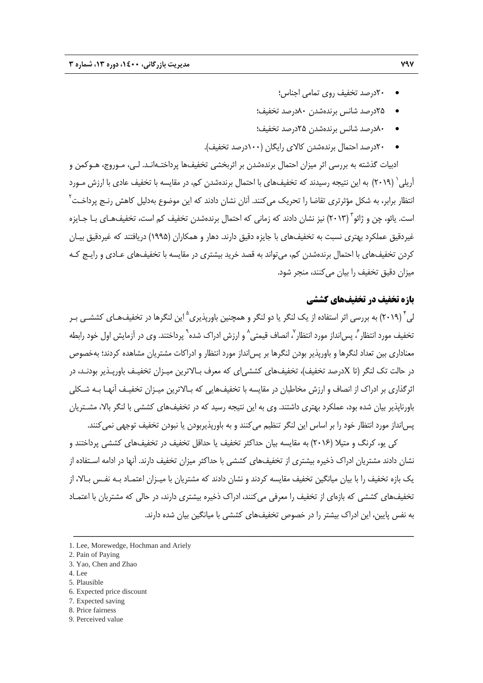- 20درصد تخفيف روي تمامي اجناس؛
- 25درصد شانس برندهشدن 80درصد تخفيف؛
- 80درصد شانس برندهشدن 25درصد تخفيف؛
- 20درصد احتمال برندهشدن كالاي رايگان (100درصد تخفيف).

ادبيات گذشته به بررسي اثر ميزان احتمال برندهشدن بر اثربخشي تخفيفها پرداختـهانـد. لـي، مـوروج، هـوكمن و 1 آريلي (2019) به اين نتيجه رسيدند كه تخفيفهاي با احتمال برندهشدن كم، در مقايسه با تخفيف عادي با ارزش مـورد ُنتظار برابر، به شكل مؤثرترى تقاضا را تحريک م*ى ک*نند. آنان نشان دادند که اين موضوع بهدليل کاهش رنـج پرداخـت<sup>۲</sup> ٔست. یائو، چن و ژائو ٌ (۲۰۱۳) نیز نشان دادند که زمانی که احتمال برندهشدن تخفیف کم است، تخفیفهـای بـا جـایزه غيردقيق عملكرد بهتري نسبت به تخفيفهاي با جايزه دقيق دارند. دهار و همكاران (1995) دريافتند كه غيردقيق بيـان كردن تخفيفهاي با احتمال برندهشدن كم، ميتواند به قصد خريد بيشتري در مقايسه با تخفيفهاي عـادي و رايـج كـه ميزان دقيق تخفيف را بيان ميكنند، منجر شود.

# **بازه تخفيف در تخفيفهاي كششي**

لي<sup>۲</sup> (۲۰۱۹) به بررسي اثر استفاده از يک لنگر يا دو لنگر و همچنين باورپذيري<sup> ۵</sup> اين لنگرها در تخفيف،هـاي کششــ <sub>،</sub> بـر نخفيف مورد انتظار ً، پس|نداز مورد انتظار ٰ، انصاف قيمتى ٰ و ارزش ادراک شده ْ پرداختند. وى در آزمايش اول خود رابطه معناداري بين تعداد لنگرها و باورپذير بودن لنگرها بر پسانداز مورد انتظار و ادراكات مشتريان مشاهده كردند؛ بهخصوص در حالت تك لنگر (تا Xدرصد تخفيف)، تخفيفهاي كششياي كه معرف بـالاترين ميـزان تخفيـف باورپـذير بودنـد، در اثرگذاري بر ادراك از انصاف و ارزش مخاطبان در مقايسه با تخفيفهايي كه بـالاترين ميـزان تخفيـف آنهـا بـه شـكلي باورناپذير بيان شده بود، عملكرد بهتري داشتند. وي به اين نتيجه رسيد كه در تخفيفهاي كششي با لنگر بالا، مشـتريان پسانداز مورد انتظار خود را بر اساس اين لنگر تنظيم ميكنند و به باورپذيربودن يا نبودن تخفيف توجهي نميكنند.

كي يو، كرنگ و متيلا (2016) به مقايسه بيان حداكثر تخفيف يا حداقل تخفيف در تخفيفهاي كششي پرداختند و نشان دادند مشتريان ادراك ذخيره بيشتري از تخفيفهاي كششي با حداكثر ميزان تخفيف دارند. آنها در ادامه اسـتفاده از يك بازه تخفيف را با بيان ميانگين تخفيف مقايسه كردند و نشان دادند كه مشتريان با ميـزان اعتمـاد بـه نفـس بـالا، از تخفيفهاي كششي كه بازهاي از تخفيف را معرفي ميكنند، ادراك ذخيره بيشتري دارند، در حالي كه مشتريان با اعتمـاد به نفس پايين، اين ادراك بيشتر را در خصوص تخفيفهاي كششي با ميانگين بيان شده دارند.

- 1. Lee, Morewedge, Hochman and Ariely
- 2. Pain of Paying
- 3. Yao, Chen and Zhao
- 4. Lee
- 5. Plausible
- 6. Expected price discount
- 7. Expected saving
- 8. Price fairness
- 9. Perceived value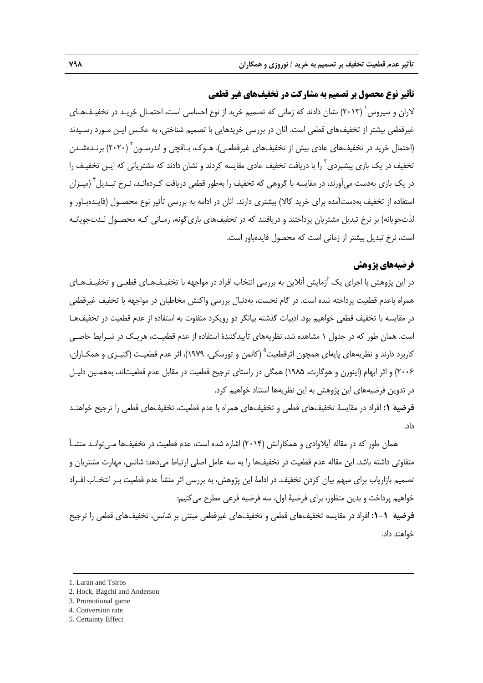# **تأثير نوع محصول بر تصميم به مشاركت در تخفيفهاي غير قطعي**

لاران و سيروس ( ٢٠١٣) نشان دادند كه زماني كه تصميم خريد از نوع احساسي است، احتمـال خريـد در تخفيـفهـاي غيرقطعي بيشتر از تخفيفهاي قطعي است. آنان در بررسي خريدهايي با تصميم شناختي، به عكـس ايـن مـورد رسـيدند (احتمال خريد در تخفيف&اي عادي بيش از تخفيف&اي غيرقطعـي). هـوک، بـاقچي و اندرسـون (٢٠٢٠) برنـدهشـدن تخفيف در يک بازي پيشبردي ' را با دريافت تخفيف عادي مقايسه كردند و نشان دادند كه مشترياني كه ايـن تخفيـف را در يک بازى بهدست مىآورند، در مقايسه با گروهى که تخفيف را بهطور قطعى دريافت کـردهانـد، نـرخ تبـديل ٔ (ميـزان استفاده از تخفيف بهدستآمده براي خريد كالا) بيشتري دارند. آنان در ادامه به بررسي تأثير نوع محصـول (فايـدهبـاور و لذتجويانه) بر نرخ تبديل مشتريان پرداختند و دريافتند كه در تخفيفهاي بازيگونه، زمـاني كـه محصـول لـذتجويانـه است، نرخ تبديل بيشتر از زماني است كه محصول فايدهباور است.

# **فرضيههاي پژوهش**

در اين پژوهش با اجراي يك آزمايش آنلاين به بررسي انتخاب افراد در مواجهه با تخفيـفهـاي قطعـي و تخفيـفهـاي همراه باعدم قطعيت پرداخته شده است. در گام نخست، بهدنبال بررسي واكنش مخاطبان در مواجهه با تخفيف غيرقطعي در مقايسه با تخفيف قطعي خواهيم بود. ادبيات گذشته بيانگر دو رويكرد متفاوت به استفاده از عدم قطعيت در تخفيفهـا است. همان طور كه در جدول 1 مشاهده شد، نظريههاي تأييدكنندة استفاده از عدم قطعيـت، هريـك در شـرايط خاصـي كاربرد دارند و نظريههاي پايهاي همچون اثرقطعيت<sup>0</sup> (كانمن و تورسكي، ١٩٧٩)، اثر عدم قطعيـت (گنيـزي و همكـاران، 2006) و اثر ابهام (اينورن و هوگارث، 1985) همگي در راستاي ترجيح قطعيت در مقابل عدم قطعيتاند، بههمـين دليـل در تدوين فرضيههاي اين پژوهش به اين نظريهها استناد خواهيم كرد.

**فرضية :1** افراد در مقايسة تخفيفهاي قطعي و تخفيفهاي همراه با عدم قطعيت، تخفيفهاي قطعي را ترجيح خواهنـد داد.

همان طور كه در مقاله آيلاوادي و همكارانش (2014) اشاره شده است، عدم قطعيت در تخفيفها مـيتوانـد منشـأ متفاوتي داشته باشد. اين مقاله عدم قطعيت در تخفيفها را به سه عامل اصلي ارتباط ميدهد: شانس، مهارت مشتريان و تصميم بازارياب براي مبهم بيان كردن تخفيف. در ادامة اين پژوهش، به بررسي اثر منشأ عدم قطعيت بـر انتخـاب افـراد خواهيم پرداخت و بدين منظور، براي فرضية اول، سه فرضيه فرعي مطرح ميكنيم: **فرضية :1-1** افراد در مقايسه تخفيفهاي قطعي و تخفيفهاي غيرقطعي مبتني بر شانس، تخفيفهاي قطعي را ترجيح

- 2. Hock, Bagchi and Anderson
- 3. Promotional game
- 4. Conversion rate
- 5. Certainty Effect

خواهند داد.

<sup>1.</sup> Laran and Tsiros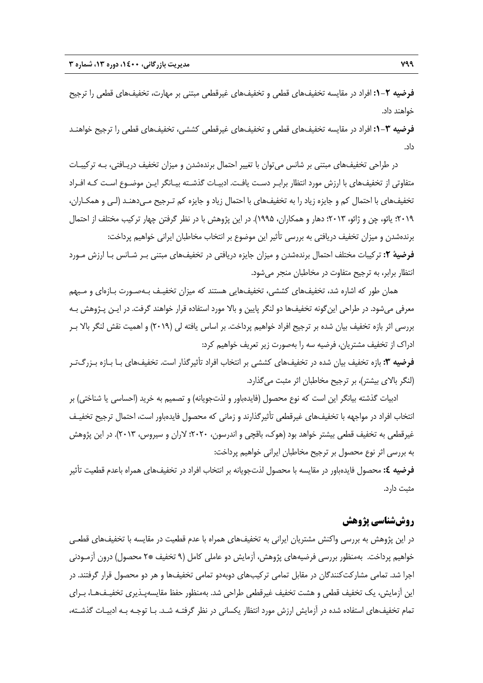**فرضيه :1-2** افراد در مقايسه تخفيفهاي قطعي و تخفيفهاي غيرقطعي مبتني بر مهارت، تخفيفهاي قطعي را ترجيح خواهند داد.

**فرضيه :1-3** افراد در مقايسه تخفيفهاي قطعي و تخفيفهاي غيرقطعي كششي، تخفيفهاي قطعي را ترجيح خواهنـد داد.

در طراحي تخفيفهاي مبتني بر شانس ميتوان با تغيير احتمال برندهشدن و ميزان تخفيف دريـافتي، بـه تركيبـات متفاوتي از تخفيفهاي با ارزش مورد انتظار برابـر دسـت يافـت. ادبيـات گذشـته بيـانگر ايـن موضـوع اسـت كـه افـراد تخفيفهاي با احتمال كم و جايزه زياد را به تخفيفهاي با احتمال زياد و جايزه كم تـرجيح مـيدهنـد (لـي و همكـاران، 2019؛ يائو، چن و ژائو، 2013؛ دهار و همكاران، 1995). در اين پژوهش با در نظر گرفتن چهار تركيب مختلف از احتمال برندهشدن و ميزان تخفيف دريافتي به بررسي تأثير اين موضوع بر انتخاب مخاطبان ايراني خواهيم پرداخت: **فرضية :2** تركيبات مختلف احتمال برندهشدن و ميزان جايزه دريافتي در تخفيفهاي مبتني بـر شـانس بـا ارزش مـورد انتظار برابر، به ترجيح متفاوت در مخاطبان منجر ميشود.

همان طور كه اشاره شد، تخفيفهاي كششي، تخفيفهايي هستند كه ميزان تخفيـف بـهصـورت بـازهاي و مـبهم معرفي ميشود. در طراحي اينگونه تخفيفها دو لنگر پايين و بالا مورد استفاده قرار خواهند گرفت. در ايـن پـژوهش بـه بررسي اثر بازه تخفيف بيان شده بر ترجيح افراد خواهيم پرداخت. بر اساس يافته لي (2019) و اهميت نقش لنگر بالا بـر ادراك از تخفيف مشتريان، فرضيه سه را بهصورت زير تعريف خواهيم كرد:

**فرضيه :3** بازه تخفيف بيان شده در تخفيفهاي كششي بر انتخاب افراد تأثيرگذار است. تخفيفهاي بـا بـازه بـزرگتـر (لنگر بالاي بيشتر)، بر ترجيح مخاطبان اثر مثبت ميگذارد.

ادبيات گذشته بيانگر اين است كه نوع محصول (فايدهباور و لذتجويانه) و تصميم به خريد (احساسي يا شناختي) بر انتخاب افراد در مواجهه با تخفيفهاي غيرقطعي تأثيرگذارند و زماني كه محصول فايدهباور است، احتمال ترجيح تخفيـف غيرقطعي به تخفيف قطعي بيشتر خواهد بود (هوك، باقچي و اندرسون، 2020؛ لاران و سيروس، 2013). در اين پژوهش به بررسي اثر نوع محصول بر ترجيح مخاطبان ايراني خواهيم پرداخت:

**فرضيه :4** محصول فايدهباور در مقايسه با محصول لذتجويانه بر انتخاب افراد در تخفيفهاي همراه باعدم قطعيت تأثير مثبت دارد.

# **روششناسي پژوهش**

در اين پژوهش به بررسي واكنش مشتريان ايراني به تخفيفهاي همراه با عدم قطعيت در مقايسه با تخفيفهاي قطعـي خواهيم پرداخت. بهمنظور بررسي فرضيههاي پژوهش، آزمايش دو عاملي كامل (9 تخفيف \*2 محصول) درون آزمـودني اجرا شد. تمامي مشاركتكنندگان در مقابل تمامي تركيبهاي دوبهدو تمامي تخفيفها و هر دو محصول قرار گرفتند. در اين آزمايش، يك تخفيف قطعي و هشت تخفيف غيرقطعي طراحي شد. بهمنظور حفظ مقايسهپـذيري تخفيـفهـا، بـراي تمام تخفيفهاي استفاده شده در آزمايش ارزش مورد انتظار يكساني در نظر گرفتـه شـد. بـا توجـه بـه ادبيـات گذشـته،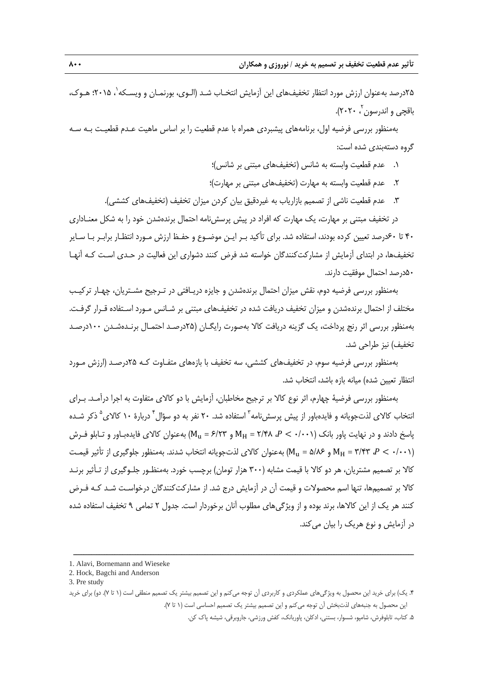۲۵درصد بهعنوان ارزش مورد انتظار تخفيف&اي اين آزمايش انتخـاب شـد (الـوي، بورنمـان و ويسـكه`، ۲۰۱۵؛ هـوک، ، 2020). <sup>2</sup> باقچي و اندرسون

بهمنظور بررسي فرضيه اول، برنامههاي پيشبردي همراه با عدم قطعيت را بر اساس ماهيت عـدم قطعيـت بـه سـه گروه دستهبندي شده است:

- .1 عدم قطعيت وابسته به شانس (تخفيفهاي مبتني بر شانس)؛
- .2 عدم قطعيت وابسته به مهارت (تخفيفهاي مبتني بر مهارت)؛
- .3 عدم قطعيت ناشي از تصميم بازارياب به غيردقيق بيان كردن ميزان تخفيف (تخفيفهاي كششي).

در تخفيف مبتني بر مهارت، يك مهارت كه افراد در پيش پرسشنامه احتمال برندهشدن خود را به شكل معنـاداري 40 تا 60درصد تعيين كرده بودند، استفاده شد. براي تأكيد بـر ايـن موضـوع و حفـظ ارزش مـورد انتظـار برابـر بـا سـاير تخفيفها، در ابتداي آزمايش از مشاركتكنندگان خواسته شد فرض كنند دشواري اين فعاليت در حـدي اسـت كـه آنهـا 50درصد احتمال موفقيت دارند.

بهمنظور بررسي فرضيه دوم، نقش ميزان احتمال برندهشدن و جايزه دريـافتي در تـرجيح مشـتريان، چهـار تركيـب مختلف از احتمال برندهشدن و ميزان تخفيف دريافت شده در تخفيفهاي مبتني بر شـانس مـورد اسـتفاده قـرار گرفـت. بهمنظور بررسي اثر رنج پرداخت، يك گزينه دريافت كالا بهصورت رايگـان (25درصـد احتمـال برنـدهشـدن 100درصـد تخفيف) نيز طراحي شد.

بهمنظور بررسي فرضيه سوم، در تخفيفهاي كششي، سه تخفيف با بازههاي متفـاوت كـه 25درصـد (ارزش مـورد انتظار تعيين شده) ميانه بازه باشد، انتخاب شد.

بهمنظور بررسي فرضية چهارم، اثر نوع كالا بر ترجيح مخاطبان، آزمايش با دو كالاي متفاوت به اجرا درآمـد. بـراي انتخاب كالاي لذتجويانه و فايدهباور از پيش پرسشiامه<sup>۳</sup> استفاده شد. ۲۰ نفر به دو سؤال<sup>۴</sup> دربارهٔ ۱۰ كالاي<sup>۵</sup> ذكر شـده پاسخ دادند و در نهايت پاور بانک (0/011 × 7/40 MH = 7/48 و 6/2٣) بهعنوان كالاي فايدهبـاور و تـابلو فـرش و (Mu = 8/۸۶ مینظور جلوگیری از تأثیر قیمت (Mu = 8/۸۶ و +10 mu) بهعنوان كالای لذتجویانه انتخاب شدند. بهمنظور جلوگیری از تأثیر قیمت كالا بر تصميم مشتريان، هر دو كالا با قيمت مشابه (300 هزار تومان) برچسب خورد. بهمنظـور جلـوگيري از تـأثير برنـد كالا بر تصميمها، تنها اسم محصولات و قيمت آن در آزمايش درج شد. از مشاركتكنندگان درخواسـت شـد كـه فـرض كنند هر يك از اين كالاها، برند بوده و از ويژگيهاي مطلوب آنان برخوردار است. جدول 2 تمامي 9 تخفيف استفاده شده در آزمايش و نوع هريك را بيان ميكند.

ــــــــــــــــــــــــــــــــــــــــــــــــــــــــــــــــــــــــــــــــــــــــــــــــــــــــــــــــــــــــــــــــــــ

.5 كتاب، تابلوفرش، شامپو، شسوار، بستني، ادكلن، پاوربانك، كفش ورزشي، جاروبرقي، شيشه پاك كن.

<sup>1.</sup> Alavi, Bornemann and Wieseke

<sup>2.</sup> Hock, Bagchi and Anderson

<sup>3.</sup> Pre study

<sup>.4</sup> يك) براي خريد اين محصول به ويژگيهاي عملكردي و كاربردي آن توجه ميكنم و اين تصميم بيشتر يك تصميم منطقي است (1 تا 7). دو) براي خريد اين محصول به جنبههاي لذتبخش آن توجه ميكنم و اين تصميم بيشتر يك تصميم احساسي است (1 تا 7).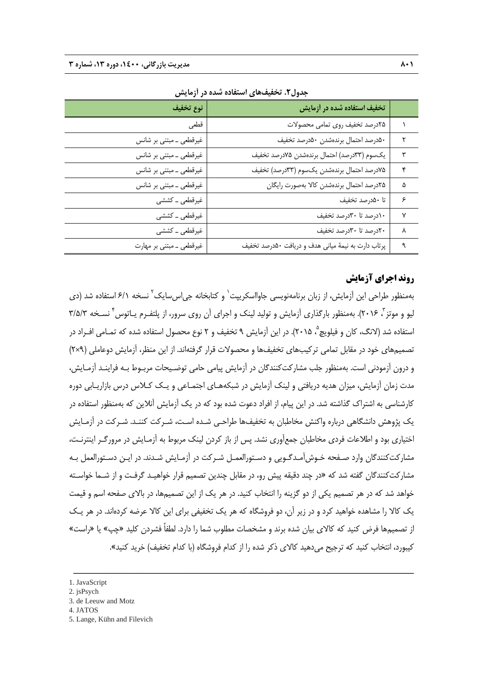|              | تخفیف استفاده شده در آزمایش                         | نوع تخفيف                 |
|--------------|-----------------------------------------------------|---------------------------|
|              | ٢۵درصد تخفيف روى تمامى محصولات                      | قطعى                      |
| ٢            | ۵۰درصد احتمال برندهشدن ۵۰درصد تخفيف                 | غیرقطعی ــ مبتنی بر شانس  |
| ٣            | يكسوم (٣٣درصد) احتمال برندهشدن ٧۵درصد تخفيف         | غیرقطعی ــ مبتنی بر شانس  |
| ۴            | ٧۵درصد احتمال برندهشدن يكسوم (٣٣درصد) تخفيف         | غیرقطعی ــ مبتنی بر شانس  |
| ۵            | ٢۵درصد احتمال برندهشدن كالا بهصورت رايگان           | غیرقطعی ــ مبتنی بر شانس  |
| ۶            | تا ۵۰درصد تخفیف                                     | غیرقطعی ۔ کششی            |
| $\mathsf{Y}$ | ١٠درصد تا ٣٠درصد تخفيف                              | غیرقطعی ۔ کششی            |
| ٨            | ٢٠درصد تا ٣٠درصد تخفيف                              | غیرقطعی _ کششی            |
| ٩            | پرتاب دارت به نیمهٔ میانی هدف و دریافت ۵۰درصد تخفیف | غیرقطعی ــ مبتنی بر مهارت |
|              |                                                     |                           |

**جدول.2 تخفيفهاي استفاده شده در آزمايش** 

# **روند اجراي آزمايش**

بهمنظور طراحی این آزمایش، از زبان برنامهنویسی جاوااسکریپت<sup>٬</sup> و کتابخانه جی|س٫سایک ٔ نسخه ۶/۱ استفاده شد (دی ليو و موتز<sup>7</sup>، ٢٠١۶). بهمنظور بارگذاري آزمايش و توليد لينک و اجراي آن روي سرور، از پلتفـرم يـاتوس<sup>٢</sup> نسـخه ٣/۵/٣ استفاده شد (لانگ، كان و فيلويچ °، ۲۰۱۵). در اين آزمايش ۹ تخفيف و ۲ نوع محصول استفاده شده كه تمـامي افـراد در تصميمهاي خود در مقابل تمامي تركيبهاي تخفيفها و محصولات قرار گرفتهاند. از اين منظر، آزمايش دوعاملي (9×2) و درون آزمودني است. بهمنظور جلب مشاركتكنندگان در آزمايش پيامي حامي توضـيحات مربـوط بـه فراينـد آزمـايش، مدت زمان آزمايش، ميزان هديه دريافتي و لينك آزمايش در شبكههـاي اجتمـاعي و يـك كـلاس درس بازاريـابي دوره كارشناسي به اشتراك گذاشته شد. در اين پيام، از افراد دعوت شده بود كه در يك آزمايش آنلاين كه بهمنظور استفاده در يك پژوهش دانشگاهي درباره واكنش مخاطبان به تخفيفها طراحـي شـده اسـت، شـركت كننـد. شـركت در آزمـايش اختياري بود و اطلاعات فردي مخاطبان جمعآوري نشد. پس از باز كردن لينك مربوط به آزمـايش در مرورگـر اينترنـت، مشاركتكنندگان وارد صـفحه خـوشآمـدگـويي و دسـتورالعمـل شـركت در آزمـايش شـدند. در ايـن دسـتورالعمل بـه مشاركتكنندگان گفته شد كه «در چند دقيقه پيش رو، در مقابل چندين تصميم قرار خواهيـد گرفـت و از شـما خواسـته خواهد شد كه در هر تصميم يكي از دو گزينه را انتخاب كنيد. در هر يك از اين تصميمها، در بالاي صفحه اسم و قيمت يك كالا را مشاهده خواهيد كرد و در زير آن، دو فروشگاه كه هر يك تخفيفي براي اين كالا عرضه كردهاند. در هر يـك از تصميمها فرض كنيد كه كالاي بيان شده برند و مشخصات مطلوب شما را دارد. لطفاً فشردن كليد «چپ» يا «راست» كيبورد، انتخاب كنيد كه ترجيح ميدهيد كالاي ذكر شده را از كدام فروشگاه (با كدام تخفيف) خريد كنيد».

ــــــــــــــــــــــــــــــــــــــــــــــــــــــــــــــــــــــــــــــــــــــــــــــــــــــــــــــــــــــــــــــــــــ

5. Lange, Kühn and Filevich

<sup>1.</sup> JavaScript

<sup>2.</sup> jsPsych

<sup>3.</sup> de Leeuw and Motz

<sup>4.</sup> JATOS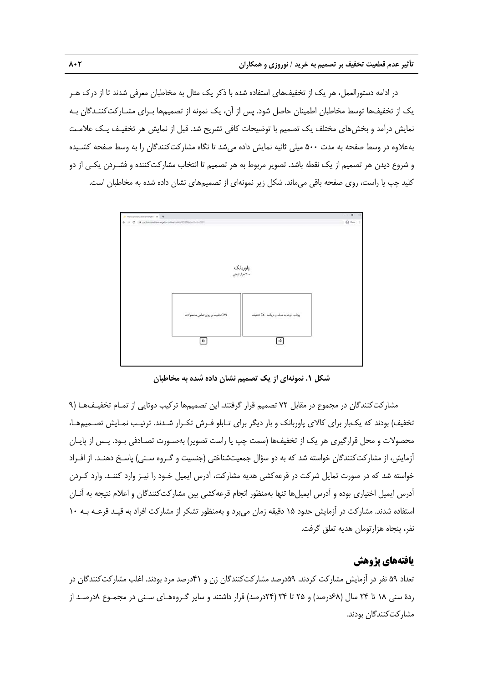در ادامه دستورالعمل، هر يك از تخفيفهاي استفاده شده با ذكر يك مثال به مخاطبان معرفي شدند تا از درك هـر يك از تخفيفها توسط مخاطبان اطمينان حاصل شود. پس از آن، يك نمونه از تصميمها بـراي مشـاركتكننـدگان بـه نمايش درآمد و بخشهاي مختلف يك تصميم با توضيحات كافي تشريح شد. قبل از نمايش هر تخفيـف يـك علامـت بهعلاوه در وسط صفحه به مدت 500 ميلي ثانيه نمايش داده ميشد تا نگاه مشاركتكنندگان را به وسط صفحه كشـيده و شروع ديدن هر تصميم از يك نقطه باشد. تصوير مربوط به هر تصميم تا انتخاب مشاركتكننده و فشـردن يكـي از دو كليد چپ يا راست، روي صفحه باقي ميماند. شكل زير نمونهاي از تصميمهاي نشان داده شده به مخاطبان است.



**شكل .1 نمونهاي از يك تصميم نشان داده شده به مخاطبان**

مشاركتكنندگان در مجموع در مقابل ٧٢ تصميم قرار گرفتند. اين تصميمها تركيب دوتايي از تمـام تخفيـف&ـا (٩ تخفيف) بودند كه يكبار براي كالاي پاوربانك و بار ديگر براي تـابلو فـرش تكـرار شـدند. ترتيـب نمـايش تصـميمهـا، محصولات و محل قرارگيري هر يك از تخفيفها (سمت چپ يا راست تصوير) بهصـورت تصـادفي بـود. پـس از پايـان آزمايش، از مشاركتكنندگان خواسته شد كه به دو سؤال جمعيتشناختي (جنسيت و گـروه سـني) پاسـخ دهنـد. از افـراد خواسته شد كه در صورت تمايل شركت در قرعهكشي هديه مشاركت، آدرس ايميل خـود را نيـز وارد كننـد. وارد كـردن آدرس ايميل اختياري بوده و آدرس ايميلها تنها بهمنظور انجام قرعهكشي بين مشاركتكنندگان و اعلام نتيجه به آنـان استفاده شدند. مشاركت در آزمايش حدود 15 دقيقه زمان ميبرد و بهمنظور تشكر از مشاركت افراد به قيـد قرعـه بـه 10 نفر، پنجاه هزارتومان هديه تعلق گرفت.

# **يافتههاي پژوهش**

تعداد ۵۹ نفر در آزمايش مشاركت كردند. ۵۹درصد مشاركتكنندگان زن و ۴۱درصد مرد بودند. اغلب مشاركتكنندگان در ردة سني 18 تا 24 سال (68درصد) و 25 تا 34 (24درصد) قرار داشتند و ساير گـروههـاي سـني در مجمـوع 8درصـد از مشاركتكنندگان بودند.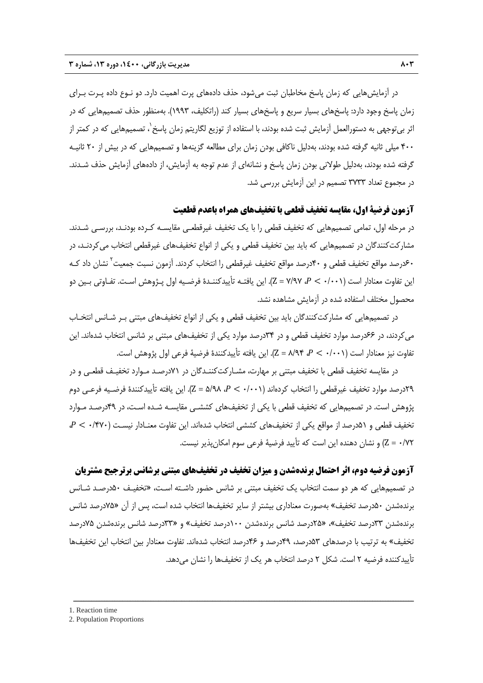در آزمايشهايي كه زمان پاسخ مخاطبان ثبت ميشود، حذف دادههاي پرت اهميت دارد. دو نـوع داده پـرت بـراي زمان پاسخ وجود دارد: پاسخهاي بسيار سريع و پاسخهاي بسيار كند (راتكليف، 1993). بهمنظور حذف تصميمهايي كه در اثر بي توجهي به دستورالعمل آزمايش ثبت شده بودند، با استفاده از توزيع لگاريتم زمان پاسخ<sup>'</sup>، تصميمهايي كه در كمتر از 400 ميلي ثانيه گرفته شده بودند، بهدليل ناكافي بودن زمان براي مطالعه گزينهها و تصميمهايي كه در بيش از 20 ثانيـه گرفته شده بودند، بهدليل طولاني بودن زمان پاسخ و نشانهاي از عدم توجه به آزمايش، از دادههاي آزمايش حذف شـدند. در مجموع تعداد 3733 تصميم در اين آزمايش بررسي شد.

**آزمون فرضية اول، مقايسه تخفيف قطعي با تخفيفهاي همراه باعدم قطعيت** 

در مرحله اول، تمامي تصميمهايي كه تخفيف قطعي را با يك تخفيف غيرقطعـي مقايسـه كـرده بودنـد، بررسـي شـدند. مشاركتكنندگان در تصميمهايي كه بايد بين تخفيف قطعي و يكي از انواع تخفيفهاي غيرقطعي انتخاب ميكردنـد، در نشان داد كـه <sup>2</sup> 60درصد مواقع تخفيف قطعي و 40درصد مواقع تخفيف غيرقطعي را انتخاب كردند. آزمون نسبت جمعيت اين تفاوت معنادار است (0/001 > ،ܲ 7/97 = Z(. اين يافتـه تأييدكننـدة فرضـيه اول پـژوهش اسـت. تفـاوتي بـين دو محصول مختلف استفاده شده در آزمايش مشاهده نشد.

در تصميمهايي كه مشاركتكنندگان بايد بين تخفيف قطعي و يكي از انواع تخفيفهاي مبتني بـر شـانس انتخـاب ميكردند، در 66درصد موارد تخفيف قطعي و در 34درصد موارد يكي از تخفيفهاي مبتني بر شانس انتخاب شدهاند. اين تفاوت نيز معنادار است (0/011 - 7/0 A۴) ، اين يافته تأييدكنندة فرضية فرعي اول پژوهش است.

در مقايسه تخفيف قطعي با تخفيف مبتني بر مهارت، مشـاركتكننـدگان در 71درصـد مـوارد تخفيـف قطعـي و در 19درصد موارد تخفيف غيرقطعي را انتخاب كردهاند (0/001 - 7 ، 6/00 = Z). اين يافته تأييدكنندة فرضـيه فرعـي دوم پژوهش است. در تصميمهايي كه تخفيف قطعي با يكي از تخفيفهاي كششـي مقايسـه شـده اسـت، در 49درصـد مـوارد تخفيف قطعي و 51درصد از مواقع يكي از تخفيفهاي كششي انتخاب شدهاند. اين تفاوت معنـادار نيسـت (٧٠/٤٧٠ > ، ، 0/72 = Z (و نشان دهنده اين است كه تأييد فرضية فرعي سوم امكانپذير نيست.

**آزمون فرضيه دوم، اثر احتمال برندهشدن و ميزان تخفيف در تخفيفهاي مبتني برشانس برترجيح مشتريان**  در تصميمهايي كه هر دو سمت انتخاب يك تخفيف مبتني بر شانس حضور داشـته اسـت، «تخفيـف 50درصـد شـانس برندهشدن 50درصد تخفيف» بهصورت معناداري بيشتر از ساير تخفيفها انتخاب شده است، پس از آن «75درصد شانس برندهشدن 33درصد تخفيف»، «25درصد شانس برندهشدن 100درصد تخفيف» و «33درصد شانس برندهشدن 75درصد تخفيف» به ترتيب با درصدهاي 53درصد، 49درصد و 46درصد انتخاب شدهاند. تفاوت معنادار بين انتخاب اين تخفيفها تأييدكننده فرضيه 2 است. شكل 2 درصد انتخاب هر يك از تخفيفها را نشان ميدهد.

ــــــــــــــــــــــــــــــــــــــــــــــــــــــــــــــــــــــــــــــــــــــــــــــــــــــــــــــــــــــــــــــــــــ

2. Population Proportions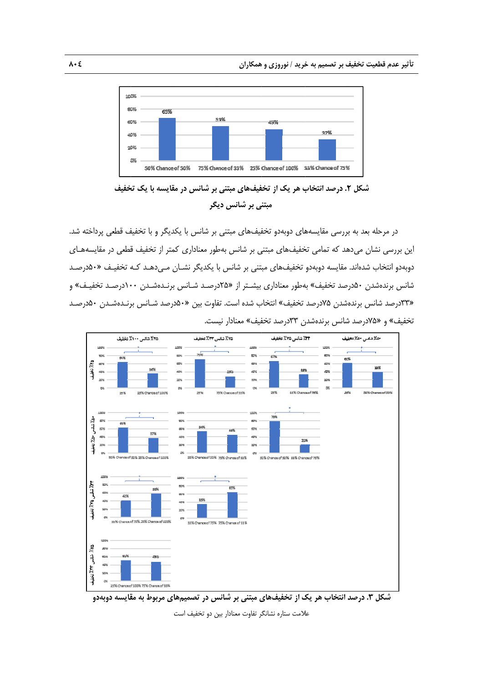**همكاران خريد / نوروزي و ه ف بر تصميم به خ دم قطعيت تخفيف تأثير عد**



شکل ۲. درصد انتخاب هر یک از تخفیفهای مبتنی بر شانس در مقایسه با یک تخفیف **يگر ني بر شانس دي مبتني**

در مرحله بعد به بررسی مقایسههای دوبهدو تخفیفهای مبتنی بر شانس با یکدیگر و با تخفیف قطعی پرداخته شد. ین بررسی نشان میدهد که تمامی تخفیفهای مبتنی بر شانس بهطور معناداری کمتر از تخفیف قطعی در مقایسههـای دوبهدو انتخاب شدهاند. مقايسه دوبهدو تخفيف&اى مبتنى بر شانس با يكديگر نشــان مـىدهــد كــه تخفيــف «۵۰درصــد شانس برندهشدن ۵۰درصد تخفيف» بهطور معناداری بيشـتر از «۲۵درصـد شـانس برنـدهشـدن ۱۰۰درصـد تخفيـف» و «۳۳درصد شانس برندهشدن ۷۵درصد تخفيف» انتخاب شده است. تفاوت بين «۵۰درصد شــانس برنــدهشــدن ۵۰درصــد نخفيف» و «۷۵درصد شانس برندهشدن ۳۳درصد تخفيف» معنادار نيست.



شکل ۳. درصد انتخاب هر یک از تخفیفهای مبتنی بر شانس در تصمیمهای مربوط به مقایسه دوبهدو

علامت ستاره نشانگر تفاوت معنادار بين دو تخفيف است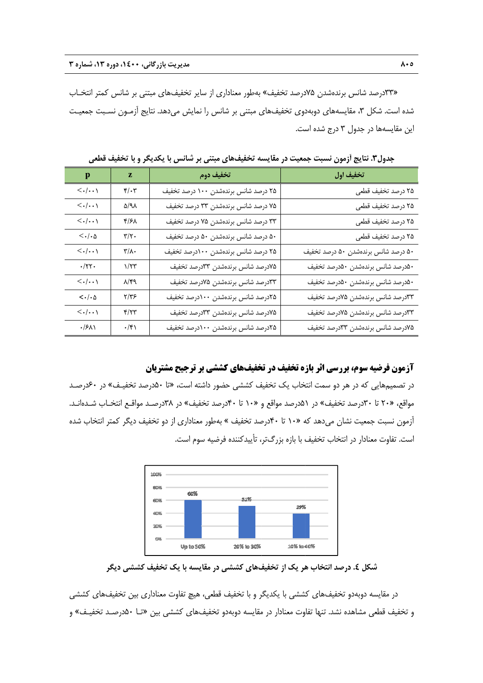«۳۳درصد شانس برندهشدن ۷۵درصد تخفيف» بهطور معنادارى از ساير تخفيفهاى مبتنى بر شانس كمتر انتخـاب شده است. شكل ۳، مقايسههاى دوبهدوى تخفيفهاى مبتنى بر شانس را نمايش مىدهد. نتايج أزمـون نسـبت جمعيـت ّین مقایسهها در جدول ۳ درج شده است.

| $\mathbf{p}$                                                                                | z                            | تخفيف دوم                            | تخفيف اول                           |
|---------------------------------------------------------------------------------------------|------------------------------|--------------------------------------|-------------------------------------|
| $<\!\!\boldsymbol{\cdot}/\!\!\boldsymbol{\cdot}\!\cdot\!\!\cdot\!\!\cdot\!\!\cdot\!\!\cdot$ | $\mathbf{r}/\cdot\mathbf{r}$ | ۲۵ درصد شانس برندهشدن ۱۰۰ درصد تخفیف | ۲۵ درصد تخفیف قطعی                  |
| $<\!\!\boldsymbol{\cdot}/\!\!\boldsymbol{\cdot}\!\cdot\!\!\cdot\!\!\cdot$                   | $\Delta/\gamma\Lambda$       | ۷۵ درصد شانس برندهشدن ۳۳ درصد تخفیف  | ۲۵ درصد تخفیف قطعی                  |
| $<\!\!\boldsymbol{\cdot}/\!\!\boldsymbol{\cdot}\!\cdot\!\!\cdot\!\!\cdot$                   | $f/\mathcal{F}$              | ۳۳ درصد شانس برندهشدن ۷۵ درصد تخفیف  | ۲۵ درصد تخفیف قطعی                  |
| $<\!\!\boldsymbol{\cdot}/\!\!\cdot\!\boldsymbol{\mathsf{\Delta}}$                           | $\mathbf{r}/\mathbf{r}$ .    | ۵۰ درصد شانس برندهشدن ۵۰ درصد تخفیف  | ۲۵ درصد تخفیف قطعی                  |
| $<\!\!\boldsymbol{\cdot}/\!\!\boldsymbol{\cdot}\!\cdot\!\!\cdot\!\!\cdot$                   | $\mathbf{r}/\mathbf{v}$      | ۲۵ درصد شانس برندهشدن ۱۰۰درصد تخفیف  | ۵۰ درصد شانس برندهشدن ۵۰ درصد تخفیف |
| $\cdot/\gamma\gamma$ .                                                                      | $1/\tau$ ۳                   | ۷۵درصد شانس برندهشدن ۳۳درصد تخفیف    | ۵۰درصد شانس برندهشدن ۵۰درصد تخفیف   |
| $<\!\!\boldsymbol{\cdot}/\!\!\boldsymbol{\cdot}\!\!\cdot\!\!\cdot\!\!\cdot\!\!\cdot$        | $\lambda$ /۴۹                | ٣٣درصد شانس برندهشدن ٧۵درصد تخفيف    | ۵۰درصد شانس برندهشدن ۵۰درصد تخفیف   |
| $<$ ./. $\Delta$                                                                            | $\frac{1}{\sqrt{2}}$         | ۲۵درصد شانس برندهشدن ۱۰۰درصد تخفیف   | ٣٣درصد شانس برندهشدن ٧۵درصد تخفيف   |
| $<\!\!\boldsymbol{\cdot}/\!\!\boldsymbol{\cdot}\!\cdot\!\!\cdot\!\!\cdot$                   | $\mathbf{r}/\mathbf{r}$      | ۷۵درصد شانس برندهشدن ۳۳درصد تخفیف    | ٣٣درصد شانس برندهشدن ٧۵درصد تخفيف   |
| $\cdot$ /۶۸۱                                                                                | $\cdot/\mathfrak{f}$         | ۲۵درصد شانس برندهشدن ۱۰۰درصد تخفیف   | ۷۵درصد شانس برندهشدن ۳۳درصد تخفیف   |

جدول۳. نتایج آزمون نسبت جمعیت در مقایسه تخفیفهای مبتنی بر شانس با یکدیگر و با تخفیف قطعی

# **آزمون فرضيه سوم، بررسي اثر بازه تخفيف در تخفيفهاي كششي بر ترجيح مشتريان**

در تصميمهايي كه در هر دو سمت انتخاب يک تخفيف کششي حضور داشته است، «تا ۵۰درصد تخفيـف» در ۶۰درصـد مواقع، «۲۰ تا ۳۰درصد تخفيف» در ۵۱درصد مواقع و «۱۰ تا ۴۰درصد تخفيف» در ۳۸درصـد مواقـع انتخـاب شـدهانـد. أزمون نسبت جمعیت نشان میدهد که «۱۰ تا ۴۰درصد تخفیف » بهطور معناداری از دو تخفیف دیگر کمتر انتخاب شده 'ست. تفاوت معنادار در انتخاب تخفيف با بازه بزرگتر، تأييدكننده فرضيه سوم است.



شکل ٤. درصد انتخاب هر یک از تخفیفهای کششی در مقایسه با یک تخفیف کششی دیگر

در مقايسه دوبهدو تخفيفهاى كششى با يكديگر و با تخفيف قطعى، هيچ تفاوت معنادارى بين تخفيفهاى كششى و تخفيف قطعي مشاهده نشد. تنها تفاوت معنادار در مقايسه دوبهدو تخفيفهاي كششي بين «تــا ۵۰درصـد تخفيــف» و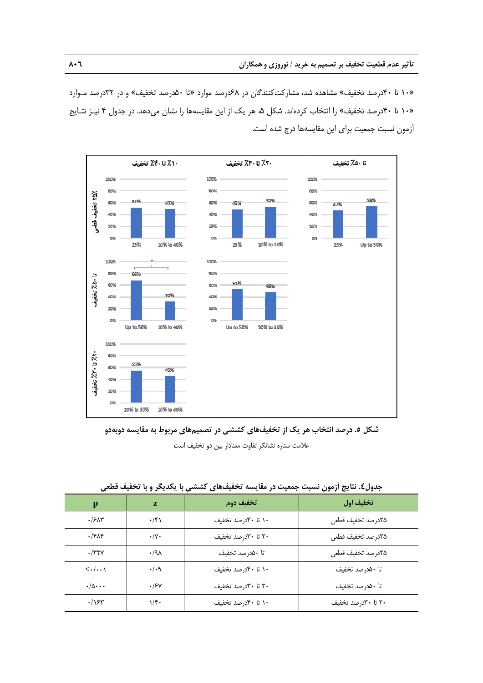۱۰» تا ۴۰درصد تخفیف» مشاهده شد، مشارکتکنندگان در ۶۸درصد موارد «تا ۵۰درصد تخفیف» و در ۳۲درصد مـوارد ۱۰» تا ۴۰درصد تخفيف» را انتخاب كردهاند. شكل ۵، هر يک از اين مقايسهها را نشان مىدهد. در جدول ۴ نيـز نتـايج أزمون نسبت جمعيت براى اين مقايسهها درج شده است.



شکل ۵. درصد انتخاب هر یک از تخفیفهای کششی در تصمیمهای مربوط به مقایسه دوبهدو علامت ستاره نشانگر تفاوت معنادار بين دو تخفيف است

| جدوں، سایج ازمون نسبت جمعیت در مقایسه تحقیقههای نسسی با یحدیجر و با تحقیق قطعی |                    |                    |                    |
|--------------------------------------------------------------------------------|--------------------|--------------------|--------------------|
| р                                                                              | z                  | تخفيف دوم          | تخفيف اول          |
| .75                                                                            | $\cdot$ /۴۱        | ۱۰ تا ۴۰درصد تخفیف | ٢۵درصد تخفيف قطعي  |
| $\cdot$ /۴۸۴                                                                   | $\cdot/\gamma$ .   | ۲۰ تا ۳۰درصد تخفیف | ٢۵درصد تخفيف قطعي  |
| $\cdot$ /۳۲۷                                                                   | $.4\lambda$        | تا ۵۰درصد تخفیف    | ۲۵در صد تخفیف قطعی |
| $\langle \cdot   \cdot \cdot \rangle$                                          | $\cdot/\cdot$ 9    | ۱۰ تا ۴۰درصد تخفیف | تا ۵۰درصد تخفیف    |
| $\cdot/\Delta \cdots$                                                          | .15v               | ۲۰ تا ۳۰درصد تخفیف | تا ۵۰درصد تخفیف    |
| .18                                                                            | $1/\mathfrak{r}$ . | ۱۰ تا ۴۰درصد تخفیف | ۲۰ تا ۳۰درصد تخفیف |

|  |  |  | جدول£. نتایج اَزمون نسبت جمعیت در مقایسه تخفیفهای کششی با یکدیگر و با تخفیف قطعی |  |  |
|--|--|--|----------------------------------------------------------------------------------|--|--|
|--|--|--|----------------------------------------------------------------------------------|--|--|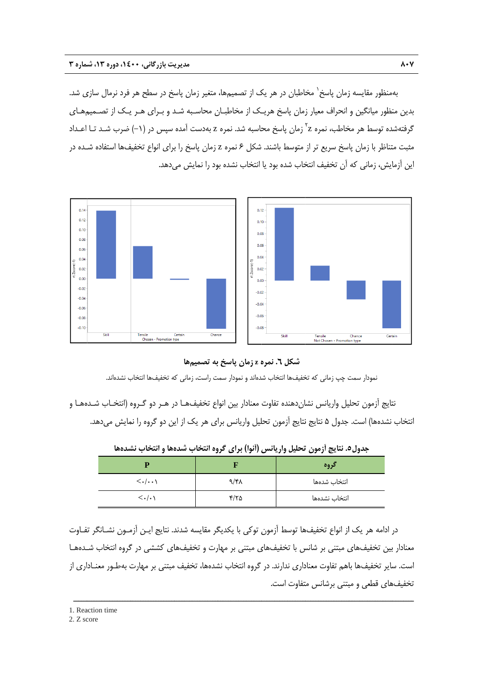بهمنظور مقايسه زمان پاسخ` مخاطبان در هر يک از تصميمها، متغير زمان پاسخ در سطح هر فرد نرمال سازى شد. بدين منظور ميانگين و انحراف معيار زمان پاسخ هريــک از مخاطبــان محاســبه شــد و بــراى هــر يــک از تصــميمهــاى گرفتهشده توسط هر مخاطب، نمره z $^{\rm v}$  زمان پاسخ محاسبه شد. نمره z بهدست آمده سپس در (۱–) ضرب شـد تـا اعـداد مثبت متناظر با زمان پاسخ سريع تر از متوسط باشند. شكل ۶ نمره z زمان پاسخ را برای انواع تخفيفها استفاده شــده در ّ ين أزمايش، زماني كه أن تخفيف انتخاب شده بود يا انتخاب نشده بود را نمايش ميدهد.



**به تصميمها ه z زمان پاسخ ب شكل .6 نمره**

نمودار سم*ت* چپ زمانی كه تخفيفها انتخاب شدهاند و نمودار سمت راست، زمانی كه تخفيفها انتخاب نشدهاند.

نتايج أزمون تحليل واريانس نشاندهنده تفاوت معنادار بين انواع تخفيف&ـا در هـر دو گـروه (انتخـاب شـدههـا و تخاب نشدهها) است. جدول ۵ نتايج نتايج آزمون تحليل واريانس براى هر يک از اين دو گروه را نمايش مىدهد.

|                                       |              | گروه          |
|---------------------------------------|--------------|---------------|
| $\langle \cdot   \cdot \cdot \rangle$ | $9/7\lambda$ | انتخاب شدهها  |
| $\langle \cdot   \cdot \rangle$       | ۳/۲۵         | انتخاب نشدهها |

جدول٥. نتايج أزمون تحليل واريانس (أنوا) براى گروه انتخاب شدهها و انتخاب نشدهها

در ادامه هر يک از انواع تخفيفها توسط آزمون توکی با يکديگر مقايسه شدند. نتايج ايـن آزمـون نشــانگر تفــاوت معنادار بين تخفيفهاى مبتنى بر شانس با تخفيفهاى مبتنى بر مهارت و تخفيفهاى كششى در گروه انتخاب شـدههـا 'ست. ساير تخفيفها باهم تفاوت معنادارى ندارند. در گروه انتخاب نشدهها، تخفيف مبتنى بر مهارت بهطـور معنــادارى از نخفيفهاى قطعى و مبتنى برشانس متفاوت است.

ــــــــــــــــــ

ــــــــــــــــــ

ــــــــــــــــــ

ــــــــــــــــــ

ـــــــــ

ــــــــــــــــــ

ــــــــــــــــــ

ــــــــــــــــــ

ــــــ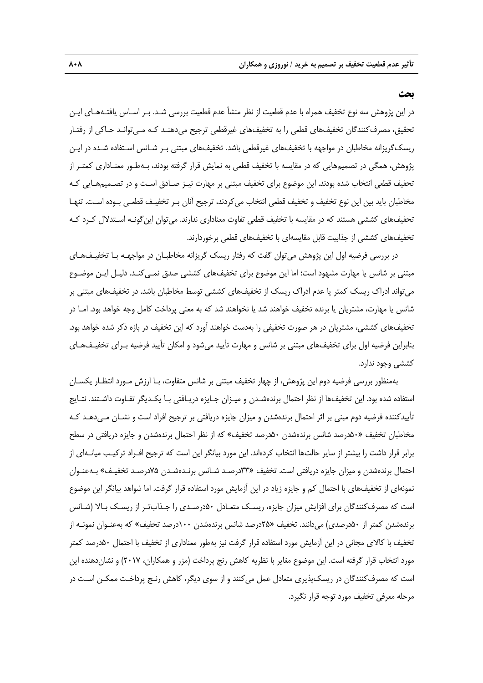#### **بحث**

در اين پژوهش سه نوع تخفيف همراه با عدم قطعيت از نظر منشأ عدم قطعيت بررسي شـد. بـر اسـاس يافتـههـاي ايـن تحقيق، مصرف كنندگان تخفيفـهاي قطعي را به تخفيفـهاي غيرقطعي ترجيح ميدهنـد كـه مـيتوانـد حـاكي از رفتـار ريسكگريزانه مخاطبان در مواجهه با تخفيفهاي غيرقطعي باشد. تخفيفهاي مبتني بـر شـانس اسـتفاده شـده در ايـن پژوهش، همگي در تصميمهايي كه در مقايسه با تخفيف قطعي به نمايش قرار گرفته بودند، بـهطـور معنـاداري كمتـر از تخفيف قطعي انتخاب شده بودند. اين موضوع براي تخفيف مبتني بر مهارت نيـز صـادق اسـت و در تصـميمهـايي كـه مخاطبان بايد بين اين نوع تخفيف و تخفيف قطعي انتخاب ميكردند، ترجيح آنان بـر تخفيـف قطعـي بـوده اسـت. تنهـا تخفيفهاي كششي هستند كه در مقايسه با تخفيف قطعي تفاوت معناداري ندارند. ميتوان اينگونـه اسـتدلال كـرد كـه تخفيفهاي كششي از جذابيت قابل مقايسهاي با تخفيفهاي قطعي برخوردارند.

در بررسي فرضيه اول اين پژوهش ميتوان گفت كه رفتار ريسك گريزانه مخاطبـان در مواجهـه بـا تخفيـفهـاي مبتني بر شانس يا مهارت مشهود است؛ اما اين موضوع براي تخفيفـهاي كششي صدق نمـي كنـد. دليـل ايـن موضـوع ميتواند ادراك ريسك كمتر يا عدم ادراك ريسك از تخفيفهاي كششي توسط مخاطبان باشد. در تخفيفهاي مبتني بر شانس يا مهارت، مشتريان يا برنده تخفيف خواهند شد يا نخواهند شد كه به معني پرداخت كامل وجه خواهد بود. امـا در تخفيفهاي كششي، مشتريان در هر صورت تخفيفي را بهدست خواهند آورد كه اين تخفيف در بازه ذكر شده خواهد بود. بنابراين فرضيه اول براي تخفيفهاي مبتني بر شانس و مهارت تأييد ميشود و امكان تأييد فرضيه بـراي تخفيـفهـاي كششي وجود ندارد.

بهمنظور بررسي فرضيه دوم اين پژوهش، از چهار تخفيف مبتني بر شانس متفاوت، بـا ارزش مـورد انتظـار يكسـان استفاده شده بود. اين تخفيفها از نظر احتمال برندهشـدن و ميـزان جـايزه دريـافتي بـا يكـديگر تفـاوت داشـتند. نتـايج تأييدكننده فرضيه دوم مبني بر اثر احتمال برندهشدن و ميزان جايزه دريافتي بر ترجيح افراد است و نشـان مـيدهـد كـه مخاطبان تخفيف «50درصد شانس برندهشدن 50درصد تخفيف» كه از نظر احتمال برندهشدن و جايزه دريافتي در سطح برابر قرار داشت را بيشتر از ساير حالتها انتخاب كردهاند. اين مورد بيانگر اين است كه ترجيح افـراد تركيـب ميانـهاي از احتمال برندهشدن و ميزان جايزه دريافتي است. تخفيف «33درصـد شـانس برنـدهشـدن 75درصـد تخفيـف» بـهعنـوان نمونهاي از تخفيفهاي با احتمال كم و جايزه زياد در اين آزمايش مورد استفاده قرار گرفت. اما شواهد بيانگر اين موضوع است كه مصرفكنندگان براي افزايش ميزان جايزه، ريسـك متعـادل 50درصـدي را جـذابتـر از ريسـك بـالا (شـانس برندهشدن كمتر از 50درصدي) ميدانند. تخفيف «25درصد شانس برندهشدن 100درصد تخفيف» كه بهعنـوان نمونـه از تخفيف با كالاي مجاني در اين آزمايش مورد استفاده قرار گرفت نيز بهطور معناداري از تخفيف با احتمال 50درصد كمتر مورد انتخاب قرار گرفته است. اين موضوع مغاير با نظريه كاهش رنج پرداخت (مزر و همكاران، 2017) و نشاندهنده اين است كه مصرفكنندگان در ريسكپذيري متعادل عمل ميكنند و از سوي ديگر، كاهش رنـج پرداخـت ممكـن اسـت در مرحله معرفي تخفيف مورد توجه قرار نگيرد.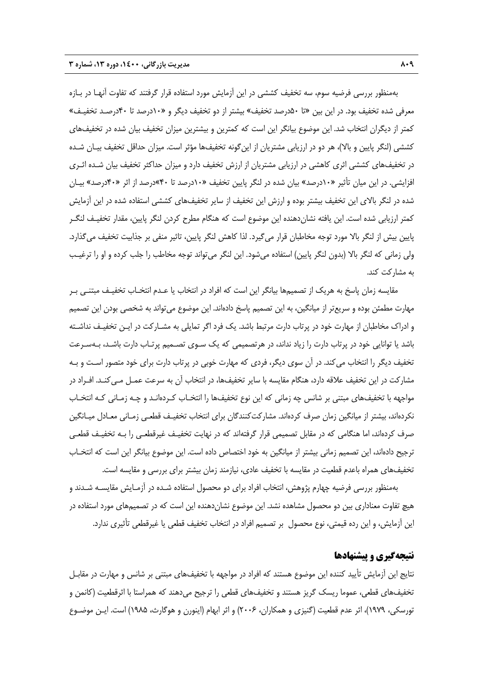بهمنظور بررسي فرضيه سوم، سه تخفيف كششي در اين آزمايش مورد استفاده قرار گرفتند كه تفاوت آنهـا در بـازه معرفي شده تخفيف بود. در اين بين «تا 50درصد تخفيف» بيشتر از دو تخفيف ديگر و «10درصد تا 40درصـد تخفيـف» كمتر از ديگران انتخاب شد. اين موضوع بيانگر اين است كه كمترين و بيشترين ميزان تخفيف بيان شده در تخفيفهاي كششي (لنگر پايين و بالا)، هر دو در ارزيابي مشتريان از اينگونه تخفيفها مؤثر است. ميزان حداقل تخفيف بيـان شـده در تخفيفهاي كششي اثري كاهشي در ارزيابي مشتريان از ارزش تخفيف دارد و ميزان حداكثر تخفيف بيان شـده اثـري افزايشي. در اين ميان تأثير «10درصد» بيان شده در لنگر پايين تخفيف «10درصد تا 40»درصد از اثر «40درصد» بيـان شده در لنگر بالاي اين تخفيف بيشتر بوده و ارزش اين تخفيف از ساير تخفيفهاي كششي استفاده شده در اين آزمايش كمتر ارزيابي شده است. اين يافته نشاندهنده اين موضوع است كه هنگام مطرح كردن لنگر پايين، مقدار تخفيـف لنگـر پايين بيش از لنگر بالا مورد توجه مخاطبان قرار ميگيرد. لذا كاهش لنگر پايين، تاثير منفي بر جذابيت تخفيف ميگذارد. ولي زماني كه لنگر بالا (بدون لنگر پايين) استفاده ميشود. اين لنگر ميتواند توجه مخاطب را جلب كرده و او را ترغيـب به مشاركت كند.

مقايسه زمان پاسخ به هريك از تصميمها بيانگر اين است كه افراد در انتخاب يا عـدم انتخـاب تخفيـف مبتنـي بـر مهارت مطمئن بوده و سريعتر از ميانگين، به اين تصميم پاسخ دادهاند. اين موضوع ميتواند به شخصي بودن اين تصميم و ادراك مخاطبان از مهارت خود در پرتاب دارت مرتبط باشد. يك فرد اگر تمايلي به مشـاركت در ايـن تخفيـف نداشـته باشد يا توانايي خود در پرتاب دارت را زياد نداند، در هرتصميمي كه يك سـوي تصـميم پرتـاب دارت باشـد، بـهسـرعت تخفيف ديگر را انتخاب ميكند. در آن سوي ديگر، فردي كه مهارت خوبي در پرتاب دارت براي خود متصور اسـت و بـه مشاركت در اين تخفيف علاقه دارد، هنگام مقايسه با ساير تخفيفها، در انتخاب آن به سرعت عمـل مـيكنـد. افـراد در مواجهه با تخفيفهاي مبتني بر شانس چه زماني كه اين نوع تخفيفها را انتخـاب كـردهانـد و چـه زمـاني كـه انتخـاب نكردهاند، بيشتر از ميانگين زمان صرف كردهاند. مشاركتكنندگان براي انتخاب تخفيـف قطعـي زمـاني معـادل ميـانگين صرف كردهاند، اما هنگامي كه در مقابل تصميمي قرار گرفتهاند كه در نهايت تخفيـف غيرقطعـي را بـه تخفيـف قطعـي ترجيح دادهاند، اين تصميم زماني بيشتر از ميانگين به خود اختصاص داده است. اين موضوع بيانگر اين است كه انتخـاب تخفيفهاي همراه باعدم قطعيت در مقايسه با تخفيف عادي، نيازمند زمان بيشتر براي بررسي و مقايسه است.

بهمنظور بررسي فرضيه چهارم پژوهش، انتخاب افراد براي دو محصول استفاده شـده در آزمـايش مقايسـه شـدند و هيچ تفاوت معناداري بين دو محصول مشاهده نشد. اين موضوع نشاندهنده اين است كه در تصميمهاي مورد استفاده در اين آزمايش، و اين رده قيمتي، نوع محصول بر تصميم افراد در انتخاب تخفيف قطعي يا غيرقطعي تأثيري ندارد.

# **نتيجهگيري و پيشنهادها**

نتايج اين آزمايش تأييد كننده اين موضوع هستند كه افراد در مواجهه با تخفيفهاي مبتني بر شانس و مهارت در مقابـل تخفيفهاي قطعي، عموما ريسك گريز هستند و تخفيفهاي قطعي را ترجيح ميدهند كه همراستا با اثرقطعيت (كانمن و تورسكي، 1979)، اثر عدم قطعيت (گنيزي و همكاران، 2006) و اثر ابهام (اينورن و هوگارث، 1985) است. ايـن موضـوع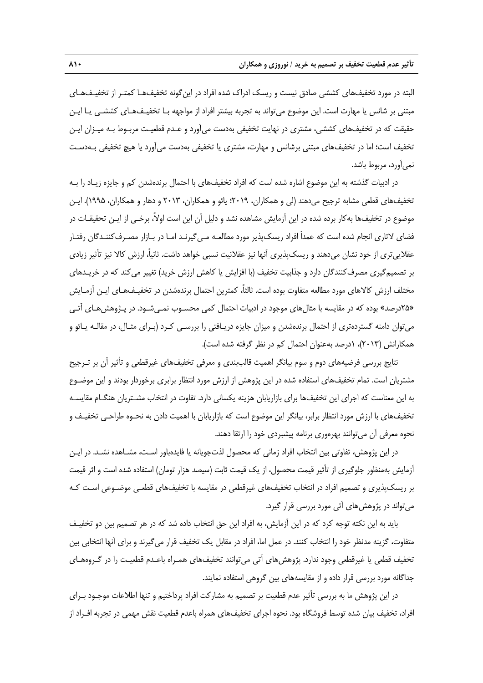البته در مورد تخفيفهاي كششي صادق نيست و ريسك ادراك شده افراد در اينگونه تخفيفهـا كمتـر از تخفيـفهـاي مبتني بر شانس يا مهارت است. اين موضوع ميتواند به تجربه بيشتر افراد از مواجهه بـا تخفيـفهـاي كششـي يـا ايـن حقيقت كه در تخفيفهاي كششي، مشتري در نهايت تخفيفي بهدست ميآورد و عـدم قطعيـت مربـوط بـه ميـزان ايـن تخفيف است؛ اما در تخفيفهاي مبتني برشانس و مهارت، مشتري يا تخفيفي بهدست ميآورد يا هيچ تخفيفي بـهدسـت نميآورد، مربوط باشد.

در ادبيات گذشته به اين موضوع اشاره شده است كه افراد تخفيفهاي با احتمال برندهشدن كم و جايزه زيـاد را بـه تخفيفهاي قطعي مشابه ترجيح ميدهند (لي و همكاران، 2019؛ يائو و همكاران، 2013 و دهار و همكاران، 1995). ايـن موضوع در تخفيفها بهكار برده شده در اين آزمايش مشاهده نشد و دليل آن اين است اولا،ً برخـي از ايـن تحقيقـات در فضاي لاتاري انجام شده است كه عمداَ افراد ريسكپذير مورد مطالعـه مـيگيرنـد امـا در بـازار مصـرفكننـدگان رفتـار عقلاييتري از خود نشان ميدهند و ريسكپذيري آنها نيز عقلانيت نسبي خواهد داشت. ثانيا،ً ارزش كالا نيز تأثير زيادي بر تصميمگيري مصرفكنندگان دارد و جذابيت تخفيف (با افزايش يا كاهش ارزش خريد) تغيير ميكند كه در خريـدهاي مختلف ارزش كالاهاي مورد مطالعه متفاوت بوده است. ثالثا،ً كمترين احتمال برندهشدن در تخفيـفهـاي ايـن آزمـايش «25درصد» بوده كه در مقايسه با مثالهاي موجود در ادبيات احتمال كمي محسـوب نمـيشـود. در پـژوهشهـاي آتـي ميتوان دامنه گستردهتري از احتمال برندهشدن و ميزان جايزه دريـافتي را بررسـي كـرد (بـراي مثـال، در مقالـه يـائو و همكارانش (2013)، 1درصد بهعنوان احتمال كم در نظر گرفته شده است).

نتايج بررسي فرضيههاي دوم و سوم بيانگر اهميت قالببندي و معرفي تخفيفهاي غيرقطعي و تأثير آن بر تـرجيح مشتريان است. تمام تخفيفهاي استفاده شده در اين پژوهش از ارزش مورد انتظار برابري برخوردار بودند و اين موضـوع به اين معناست كه اجراي اين تخفيفها براي بازاريابان هزينه يكساني دارد. تفاوت در انتخاب مشـتريان هنگـام مقايسـه تخفيفهاي با ارزش مورد انتظار برابر، بيانگر اين موضوع است كه بازاريابان با اهميت دادن به نحـوه طراحـي تخفيـف و نحوه معرفي آن ميتوانند بهرهوري برنامه پيشبردي خود را ارتقا دهند.

در اين پژوهش، تفاوتي بين انتخاب افراد زماني كه محصول لذتجويانه يا فايدهباور اسـت، مشـاهده نشـد. در ايـن آزمايش بهمنظور جلوگيري از تأثير قيمت محصول، از يك قيمت ثابت (سيصد هزار تومان) استفاده شده است و اثر قيمت بر ريسكپذيري و تصميم افراد در انتخاب تخفيفهاي غيرقطعي در مقايسه با تخفيفهاي قطعـي موضـوعي اسـت كـه ميتواند در پژوهشهاي آتي مورد بررسي قرار گيرد.

بايد به اين نكته توجه كرد كه در اين آزمايش، به افراد اين حق انتخاب داده شد كه در هر تصميم بين دو تخفيـف متفاوت، گزينه مدنظر خود را انتخاب كنند. در عمل اما، افراد در مقابل يك تخفيف قرار ميگيرند و براي آنها انتخابي بين تخفيف قطعي يا غيرقطعي وجود ندارد. پژوهشهاي آتي ميتوانند تخفيفهاي همـراه باعـدم قطعيـت را در گـروههـاي جداگانه مورد بررسي قرار داده و از مقايسههاي بين گروهي استفاده نمايند.

در اين پژوهش ما به بررسي تأثير عدم قطعيت بر تصميم به مشاركت افراد پرداختيم و تنها اطلاعات موجـود بـراي افراد، تخفيف بيان شده توسط فروشگاه بود. نحوه اجراي تخفيفهاي همراه باعدم قطعيت نقش مهمي در تجربه افـراد از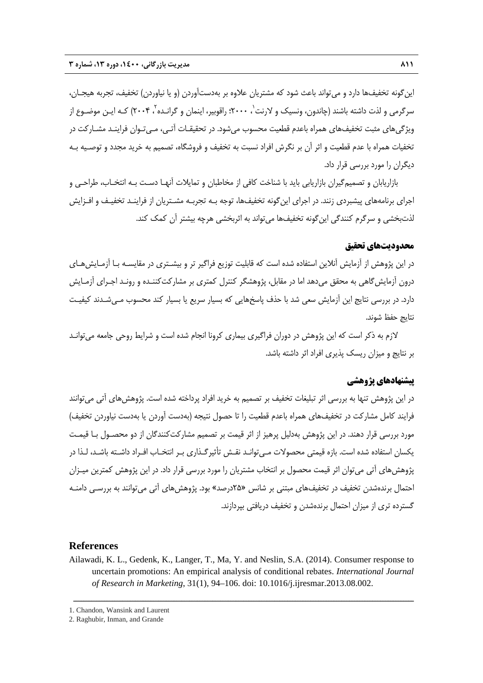اينگونه تخفيفها دارد و ميتواند باعث شود كه مشتريان علاوه بر بهدستآوردن (و يا نياوردن) تخفيف، تجربه هيجـان، سرگرمي و لذت داشته باشند (چاندون، ونسيک و لارنت`، ۲۰۰۰؛ راقوبير، اينمان و گرانـده`، ۲۰۰۴) کـه ايـن موضـوع از ويژگيهاي مثبت تخفيفهاي همراه باعدم قطعيت محسوب ميشود. در تحقيقـات آتـي، مـيتـوان فراينـد مشـاركت در تخفيات همراه با عدم قطعيت و اثر آن بر نگرش افراد نسبت به تخفيف و فروشگاه، تصميم به خريد مجدد و توصـيه بـه ديگران را مورد بررسي قرار داد.

بازاريابان و تصميمگيران بازاريابي بايد با شناخت كافي از مخاطبان و تمايلات آنهـا دسـت بـه انتخـاب، طراحـي و اجراي برنامههاي پيشبردي زنند. در اجراي اينگونه تخفيفها، توجه بـه تجربـه مشـتريان از فراينـد تخفيـف و افـزايش لذتبخشي و سرگرم كنندگي اينگونه تخفيفها ميتواند به اثربخشي هرچه بيشتر آن كمك كند.

# **محدوديتهاي تحقيق**

در اين پژوهش از آزمايش آنلاين استفاده شده است كه قابليت توزيع فراگير تر و بيشـتري در مقايسـه بـا آزمـايشهـاي درون آزمايش گاهي به محقق مي دهد اما در مقابل، پژوهشگر كنترل كمتري بر مشاركتكننـده و رونـد اجـراي آزمـايش دارد. در بررسي نتايج اين آزمايش سعي شد با حذف پاسخهايي كه بسيار سريع يا بسيار كند محسوب مـيشـدند كيفيـت نتايج حفظ شوند.

لازم به ذكر است كه اين پژوهش در دوران فراگيري بيماري كرونا انجام شده است و شرايط روحي جامعه ميتوانـد بر نتايج و ميزان ريسك پذيري افراد اثر داشته باشد.

# **پيشنهادهاي پژوهشي**

در اين پژوهش تنها به بررسي اثر تبليغات تخفيف بر تصميم به خريد افراد پرداخته شده است. پژوهشهاي آتي ميتوانند فرايند كامل مشاركت در تخفيفهاي همراه باعدم قطعيت را تا حصول نتيجه (بهدست آوردن يا بهدست نياوردن تخفيف) مورد بررسي قرار دهند. در اين پژوهش بهدليل پرهيز از اثر قيمت بر تصميم مشاركتكنندگان از دو محصـول بـا قيمـت يكسان استفاده شده است. بازه قيمتي محصولات مـيتوانـد نقـش تأثيرگـذاري بـر انتخـاب افـراد داشـته باشـد، لـذا در پژوهشهاي آتي ميتوان اثر قيمت محصول بر انتخاب مشتريان را مورد بررسي قرار داد. در اين پژوهش كمترين ميـزان احتمال برندهشدن تخفيف در تخفيفهاي مبتني بر شانس «25درصد» بود. پژوهشهاي آتي ميتوانند به بررسـي دامنـه گسترده تري از ميزان احتمال برندهشدن و تخفيف دريافتي بپردازند.

### **References**

Ailawadi, K. L., Gedenk, K., Langer, T., Ma, Y. and Neslin, S.A. (2014). Consumer response to uncertain promotions: An empirical analysis of conditional rebates. *International Journal of Research in Marketing*, 31(1), 94–106. doi: 10.1016/j.ijresmar.2013.08.002.

<sup>1.</sup> Chandon, Wansink and Laurent

<sup>2.</sup> Raghubir, Inman, and Grande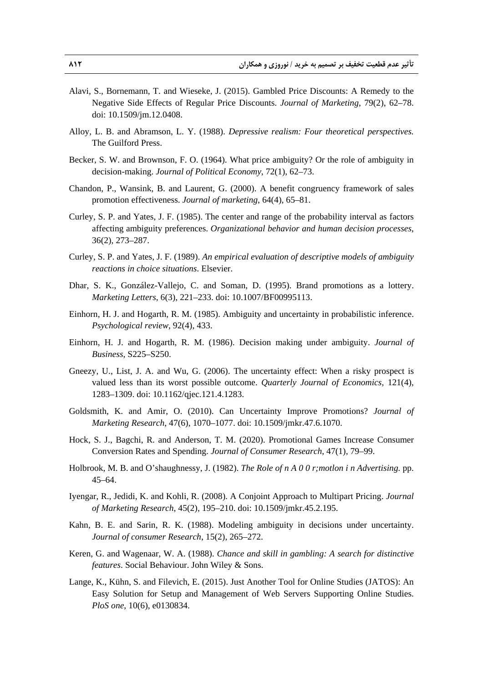- Alavi, S., Bornemann, T. and Wieseke, J. (2015). Gambled Price Discounts: A Remedy to the Negative Side Effects of Regular Price Discounts. *Journal of Marketing*, 79(2), 62–78. doi: 10.1509/jm.12.0408.
- Alloy, L. B. and Abramson, L. Y. (1988). *Depressive realism: Four theoretical perspectives.*  The Guilford Press.
- Becker, S. W. and Brownson, F. O. (1964). What price ambiguity? Or the role of ambiguity in decision-making. *Journal of Political Economy*, 72(1), 62–73.
- Chandon, P., Wansink, B. and Laurent, G. (2000). A benefit congruency framework of sales promotion effectiveness. *Journal of marketing*, 64(4), 65–81.
- Curley, S. P. and Yates, J. F. (1985). The center and range of the probability interval as factors affecting ambiguity preferences. *Organizational behavior and human decision processes*, 36(2), 273–287.
- Curley, S. P. and Yates, J. F. (1989). *An empirical evaluation of descriptive models of ambiguity reactions in choice situations*. Elsevier.
- Dhar, S. K., González-Vallejo, C. and Soman, D. (1995). Brand promotions as a lottery. *Marketing Letters*, 6(3), 221–233. doi: 10.1007/BF00995113.
- Einhorn, H. J. and Hogarth, R. M. (1985). Ambiguity and uncertainty in probabilistic inference. *Psychological review*, 92(4), 433.
- Einhorn, H. J. and Hogarth, R. M. (1986). Decision making under ambiguity. *Journal of Business*, S225–S250.
- Gneezy, U., List, J. A. and Wu, G. (2006). The uncertainty effect: When a risky prospect is valued less than its worst possible outcome. *Quarterly Journal of Economics*, 121(4), 1283–1309. doi: 10.1162/qjec.121.4.1283.
- Goldsmith, K. and Amir, O. (2010). Can Uncertainty Improve Promotions? *Journal of Marketing Research*, 47(6), 1070–1077. doi: 10.1509/jmkr.47.6.1070.
- Hock, S. J., Bagchi, R. and Anderson, T. M. (2020). Promotional Games Increase Consumer Conversion Rates and Spending. *Journal of Consumer Research*, 47(1), 79–99.
- Holbrook, M. B. and O'shaughnessy, J. (1982). *The Role of n A 0 0 r;motlon i n Advertising.* pp. 45–64.
- Iyengar, R., Jedidi, K. and Kohli, R. (2008). A Conjoint Approach to Multipart Pricing. *Journal of Marketing Research*, 45(2), 195–210. doi: 10.1509/jmkr.45.2.195.
- Kahn, B. E. and Sarin, R. K. (1988). Modeling ambiguity in decisions under uncertainty. *Journal of consumer Research*, 15(2), 265–272.
- Keren, G. and Wagenaar, W. A. (1988). *Chance and skill in gambling: A search for distinctive features*. Social Behaviour. John Wiley & Sons.
- Lange, K., Kühn, S. and Filevich, E. (2015). Just Another Tool for Online Studies (JATOS): An Easy Solution for Setup and Management of Web Servers Supporting Online Studies. *PloS one*, 10(6), e0130834.